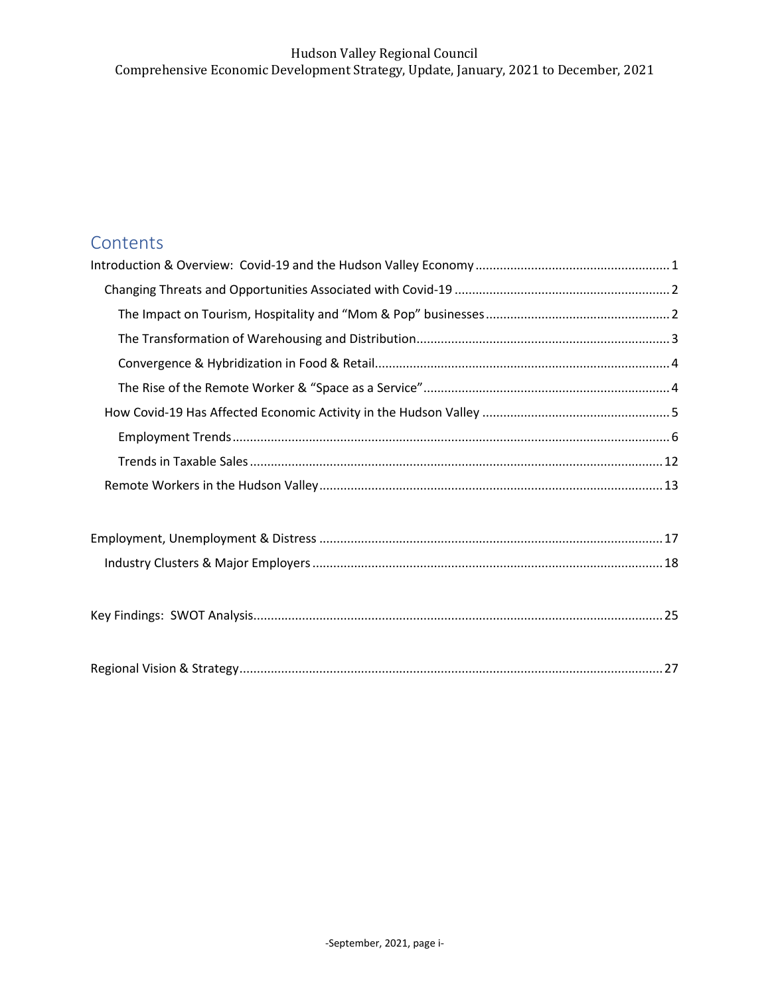# **Contents**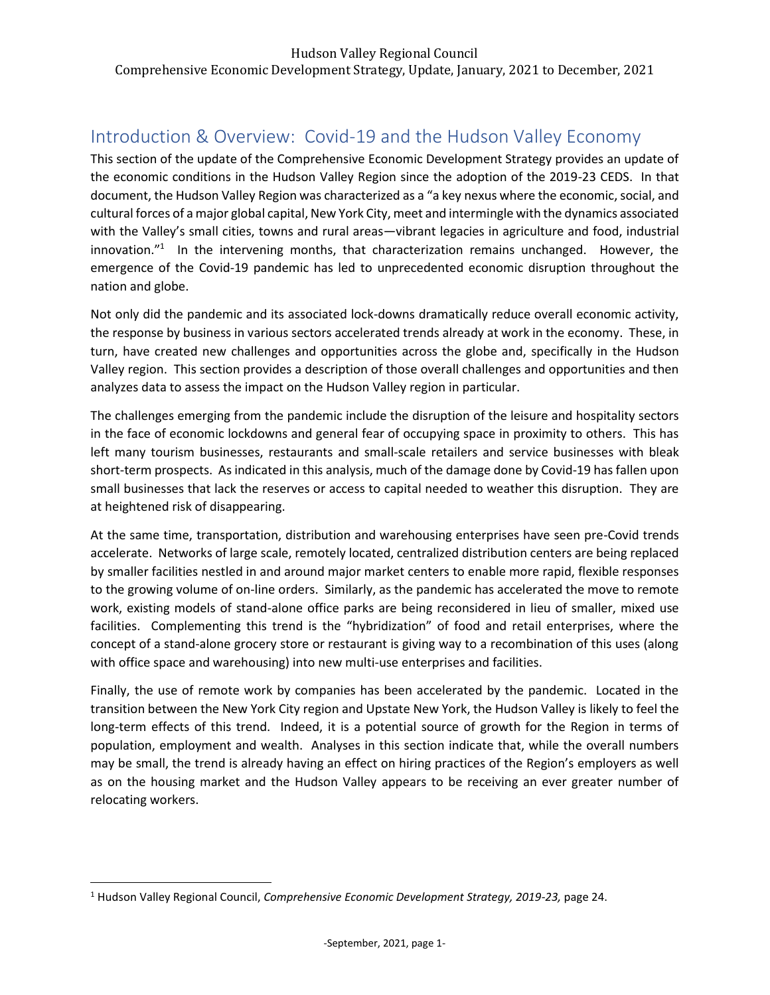# <span id="page-1-0"></span>Introduction & Overview: Covid-19 and the Hudson Valley Economy

This section of the update of the Comprehensive Economic Development Strategy provides an update of the economic conditions in the Hudson Valley Region since the adoption of the 2019-23 CEDS. In that document, the Hudson Valley Region was characterized as a "a key nexus where the economic, social, and cultural forces of a major global capital, New York City, meet and intermingle with the dynamics associated with the Valley's small cities, towns and rural areas—vibrant legacies in agriculture and food, industrial innovation."<sup>1</sup> In the intervening months, that characterization remains unchanged. However, the emergence of the Covid-19 pandemic has led to unprecedented economic disruption throughout the nation and globe.

Not only did the pandemic and its associated lock-downs dramatically reduce overall economic activity, the response by business in various sectors accelerated trends already at work in the economy. These, in turn, have created new challenges and opportunities across the globe and, specifically in the Hudson Valley region. This section provides a description of those overall challenges and opportunities and then analyzes data to assess the impact on the Hudson Valley region in particular.

The challenges emerging from the pandemic include the disruption of the leisure and hospitality sectors in the face of economic lockdowns and general fear of occupying space in proximity to others. This has left many tourism businesses, restaurants and small-scale retailers and service businesses with bleak short-term prospects. As indicated in this analysis, much of the damage done by Covid-19 has fallen upon small businesses that lack the reserves or access to capital needed to weather this disruption. They are at heightened risk of disappearing.

At the same time, transportation, distribution and warehousing enterprises have seen pre-Covid trends accelerate. Networks of large scale, remotely located, centralized distribution centers are being replaced by smaller facilities nestled in and around major market centers to enable more rapid, flexible responses to the growing volume of on-line orders. Similarly, as the pandemic has accelerated the move to remote work, existing models of stand-alone office parks are being reconsidered in lieu of smaller, mixed use facilities. Complementing this trend is the "hybridization" of food and retail enterprises, where the concept of a stand-alone grocery store or restaurant is giving way to a recombination of this uses (along with office space and warehousing) into new multi-use enterprises and facilities.

Finally, the use of remote work by companies has been accelerated by the pandemic. Located in the transition between the New York City region and Upstate New York, the Hudson Valley is likely to feel the long-term effects of this trend. Indeed, it is a potential source of growth for the Region in terms of population, employment and wealth. Analyses in this section indicate that, while the overall numbers may be small, the trend is already having an effect on hiring practices of the Region's employers as well as on the housing market and the Hudson Valley appears to be receiving an ever greater number of relocating workers.

<sup>1</sup> Hudson Valley Regional Council, *Comprehensive Economic Development Strategy, 2019-23,* page 24.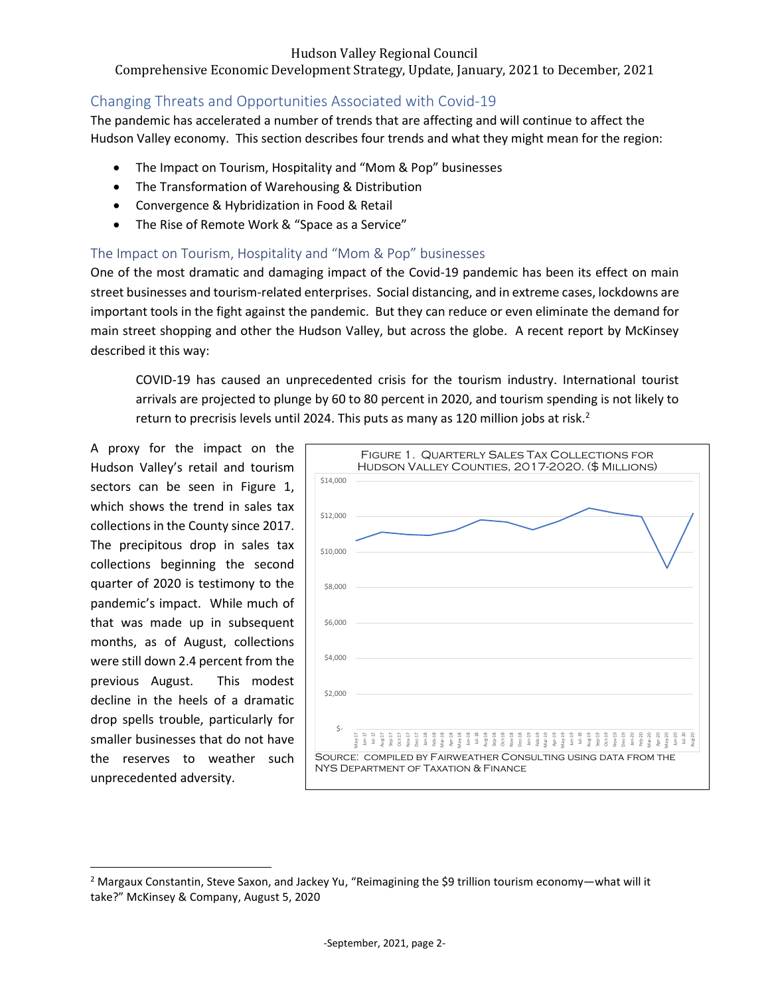# Comprehensive Economic Development Strategy, Update, January, 2021 to December, 2021

# <span id="page-2-0"></span>Changing Threats and Opportunities Associated with Covid-19

The pandemic has accelerated a number of trends that are affecting and will continue to affect the Hudson Valley economy. This section describes four trends and what they might mean for the region:

- The Impact on Tourism, Hospitality and "Mom & Pop" businesses
- The Transformation of Warehousing & Distribution
- Convergence & Hybridization in Food & Retail
- The Rise of Remote Work & "Space as a Service"

# <span id="page-2-1"></span>The Impact on Tourism, Hospitality and "Mom & Pop" businesses

One of the most dramatic and damaging impact of the Covid-19 pandemic has been its effect on main street businesses and tourism-related enterprises. Social distancing, and in extreme cases, lockdowns are important tools in the fight against the pandemic. But they can reduce or even eliminate the demand for main street shopping and other the Hudson Valley, but across the globe. A recent report by McKinsey described it this way:

COVID-19 has caused an unprecedented crisis for the tourism industry. International tourist arrivals are projected to plunge by 60 to 80 percent in 2020, and tourism spending is not likely to return to precrisis levels until 2024. This puts as many as 120 million jobs at risk.<sup>2</sup>

A proxy for the impact on the Hudson Valley's retail and tourism sectors can be seen in Figure 1, which shows the trend in sales tax collections in the County since 2017. The precipitous drop in sales tax collections beginning the second quarter of 2020 is testimony to the pandemic's impact. While much of that was made up in subsequent months, as of August, collections were still down 2.4 percent from the previous August. This modest decline in the heels of a dramatic drop spells trouble, particularly for smaller businesses that do not have the reserves to weather such unprecedented adversity.



<sup>&</sup>lt;sup>2</sup> Margaux Constantin, Steve Saxon, and Jackey Yu, "Reimagining the \$9 trillion tourism economy—what will it take?" McKinsey & Company, August 5, 2020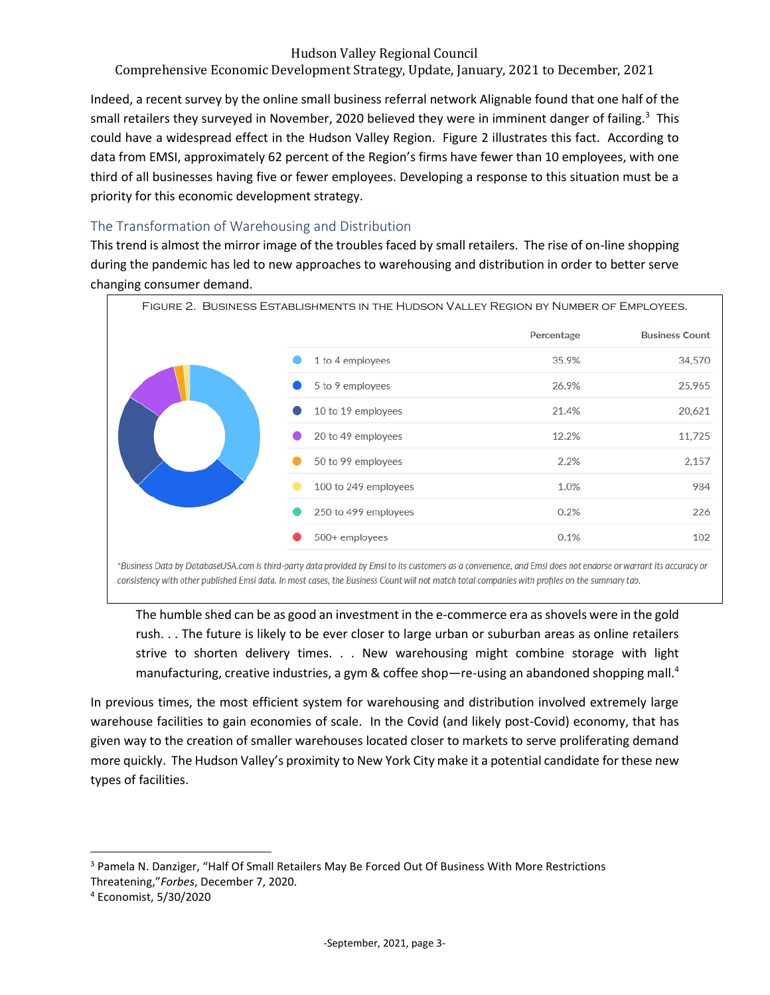# Comprehensive Economic Development Strategy, Update, January, 2021 to December, 2021

Indeed, a recent survey by the online small business referral network Alignable found that one half of the small retailers they surveyed in November, 2020 believed they were in imminent danger of failing.<sup>3</sup> This could have a widespread effect in the Hudson Valley Region. Figure 2 illustrates this fact. According to data from EMSI, approximately 62 percent of the Region's firms have fewer than 10 employees, with one third of all businesses having five or fewer employees. Developing a response to this situation must be a priority for this economic development strategy.

# <span id="page-3-0"></span>The Transformation of Warehousing and Distribution

This trend is almost the mirror image of the troubles faced by small retailers. The rise of on-line shopping during the pandemic has led to new approaches to warehousing and distribution in order to better serve changing consumer demand.



consistency with other published Emsi data. In most cases, the Business Count will not match total companies with profiles on the summary tab.

The humble shed can be as good an investment in the e-commerce era as shovels were in the gold rush. . . The future is likely to be ever closer to large urban or suburban areas as online retailers strive to shorten delivery times. . . New warehousing might combine storage with light manufacturing, creative industries, a gym & coffee shop—re-using an abandoned shopping mall.<sup>4</sup>

In previous times, the most efficient system for warehousing and distribution involved extremely large warehouse facilities to gain economies of scale. In the Covid (and likely post-Covid) economy, that has given way to the creation of smaller warehouses located closer to markets to serve proliferating demand more quickly. The Hudson Valley's proximity to New York City make it a potential candidate for these new types of facilities.

<sup>&</sup>lt;sup>3</sup> Pamela N. Danziger, "Half Of Small Retailers May Be Forced Out Of Business With More Restrictions Threatening,"*Forbes*, December 7, 2020.

<sup>4</sup> Economist, 5/30/2020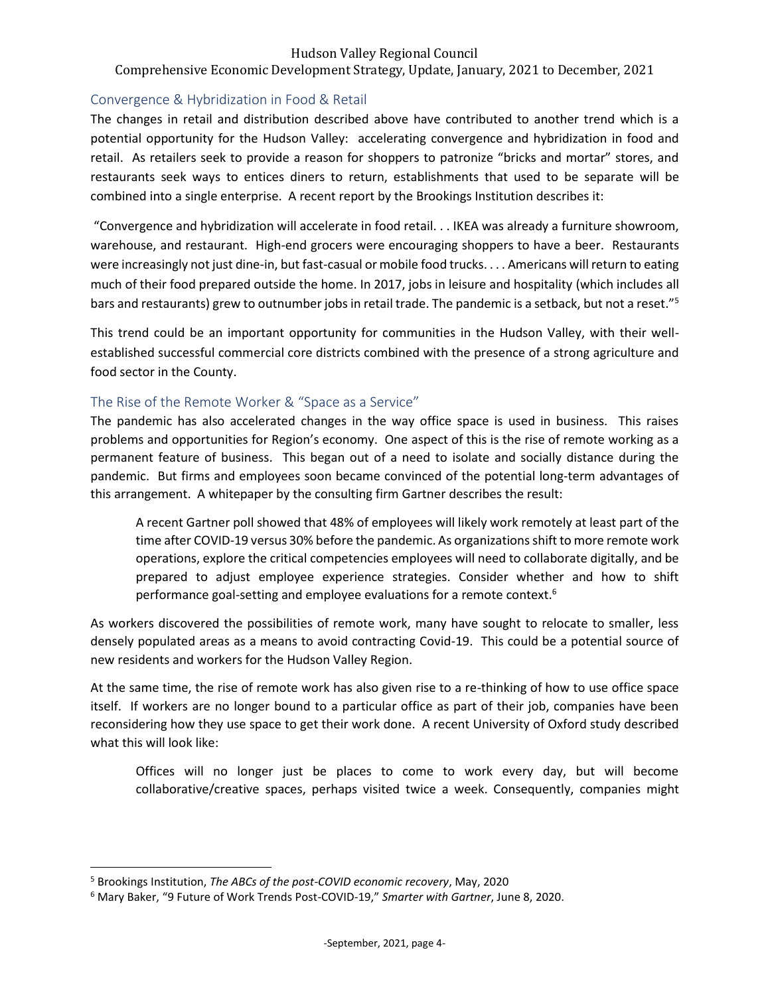# Comprehensive Economic Development Strategy, Update, January, 2021 to December, 2021

# <span id="page-4-0"></span>Convergence & Hybridization in Food & Retail

The changes in retail and distribution described above have contributed to another trend which is a potential opportunity for the Hudson Valley: accelerating convergence and hybridization in food and retail. As retailers seek to provide a reason for shoppers to patronize "bricks and mortar" stores, and restaurants seek ways to entices diners to return, establishments that used to be separate will be combined into a single enterprise. A recent report by the Brookings Institution describes it:

"Convergence and hybridization will accelerate in food retail. . . IKEA was already a furniture showroom, warehouse, and restaurant. High-end grocers were encouraging shoppers to have a beer. Restaurants were increasingly not just dine-in, but fast-casual or mobile food trucks. . . . Americans will return to eating much of their food prepared outside the home. In 2017, jobs in leisure and hospitality (which includes all bars and restaurants) grew to outnumber jobs in retail trade. The pandemic is a setback, but not a reset."<sup>5</sup>

This trend could be an important opportunity for communities in the Hudson Valley, with their wellestablished successful commercial core districts combined with the presence of a strong agriculture and food sector in the County.

## <span id="page-4-1"></span>The Rise of the Remote Worker & "Space as a Service"

The pandemic has also accelerated changes in the way office space is used in business. This raises problems and opportunities for Region's economy. One aspect of this is the rise of remote working as a permanent feature of business. This began out of a need to isolate and socially distance during the pandemic. But firms and employees soon became convinced of the potential long-term advantages of this arrangement. A whitepaper by the consulting firm Gartner describes the result:

A recent Gartner poll showed that 48% of employees will likely work remotely at least part of the time after COVID-19 versus 30% before the pandemic. As organizations shift to more remote work operations, explore the critical competencies employees will need to collaborate digitally, and be prepared to adjust employee experience strategies. Consider whether and how to shift performance goal-setting and employee evaluations for a remote context.<sup>6</sup>

As workers discovered the possibilities of remote work, many have sought to relocate to smaller, less densely populated areas as a means to avoid contracting Covid-19. This could be a potential source of new residents and workers for the Hudson Valley Region.

At the same time, the rise of remote work has also given rise to a re-thinking of how to use office space itself. If workers are no longer bound to a particular office as part of their job, companies have been reconsidering how they use space to get their work done. A recent University of Oxford study described what this will look like:

Offices will no longer just be places to come to work every day, but will become collaborative/creative spaces, perhaps visited twice a week. Consequently, companies might

<sup>5</sup> Brookings Institution, *The ABCs of the post-COVID economic recovery*, May, 2020

<sup>6</sup> Mary Baker, "9 Future of Work Trends Post-COVID-19," *Smarter with Gartner*, June 8, 2020.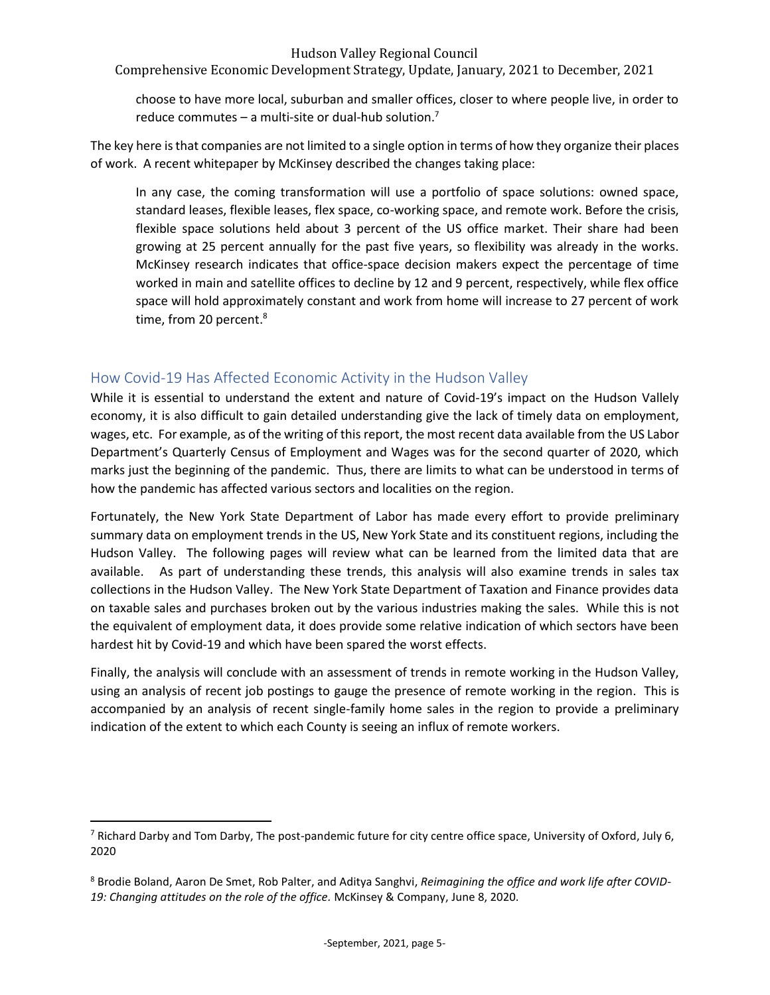Comprehensive Economic Development Strategy, Update, January, 2021 to December, 2021

choose to have more local, suburban and smaller offices, closer to where people live, in order to reduce commutes – a multi-site or dual-hub solution.<sup>7</sup>

The key here is that companies are not limited to a single option in terms of how they organize their places of work. A recent whitepaper by McKinsey described the changes taking place:

In any case, the coming transformation will use a portfolio of space solutions: owned space, standard leases, flexible leases, flex space, co-working space, and remote work. Before the crisis, flexible space solutions held about 3 percent of the US office market. Their share had been growing at 25 percent annually for the past five years, so flexibility was already in the works. McKinsey research indicates that office-space decision makers expect the percentage of time worked in main and satellite offices to decline by 12 and 9 percent, respectively, while flex office space will hold approximately constant and work from home will increase to 27 percent of work time, from 20 percent. 8

# <span id="page-5-0"></span>How Covid-19 Has Affected Economic Activity in the Hudson Valley

While it is essential to understand the extent and nature of Covid-19's impact on the Hudson Vallely economy, it is also difficult to gain detailed understanding give the lack of timely data on employment, wages, etc. For example, as of the writing of this report, the most recent data available from the US Labor Department's Quarterly Census of Employment and Wages was for the second quarter of 2020, which marks just the beginning of the pandemic. Thus, there are limits to what can be understood in terms of how the pandemic has affected various sectors and localities on the region.

Fortunately, the New York State Department of Labor has made every effort to provide preliminary summary data on employment trends in the US, New York State and its constituent regions, including the Hudson Valley. The following pages will review what can be learned from the limited data that are available. As part of understanding these trends, this analysis will also examine trends in sales tax collections in the Hudson Valley. The New York State Department of Taxation and Finance provides data on taxable sales and purchases broken out by the various industries making the sales. While this is not the equivalent of employment data, it does provide some relative indication of which sectors have been hardest hit by Covid-19 and which have been spared the worst effects.

Finally, the analysis will conclude with an assessment of trends in remote working in the Hudson Valley, using an analysis of recent job postings to gauge the presence of remote working in the region. This is accompanied by an analysis of recent single-family home sales in the region to provide a preliminary indication of the extent to which each County is seeing an influx of remote workers.

<sup>&</sup>lt;sup>7</sup> Richard Darby and Tom Darby, The post-pandemic future for city centre office space, University of Oxford, July 6, 2020

<sup>8</sup> Brodie Boland, Aaron De Smet, Rob Palter, and Aditya Sanghvi, *Reimagining the office and work life after COVID-19: Changing attitudes on the role of the office.* McKinsey & Company, June 8, 2020.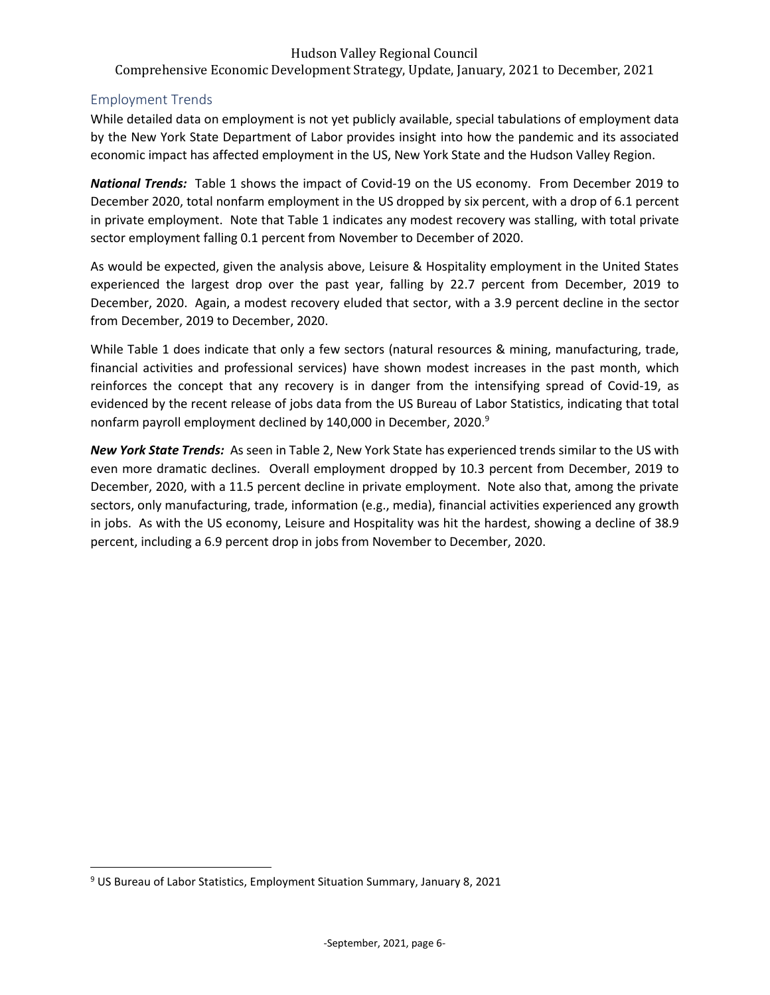Comprehensive Economic Development Strategy, Update, January, 2021 to December, 2021

# <span id="page-6-0"></span>Employment Trends

While detailed data on employment is not yet publicly available, special tabulations of employment data by the New York State Department of Labor provides insight into how the pandemic and its associated economic impact has affected employment in the US, New York State and the Hudson Valley Region.

*National Trends:* Table 1 shows the impact of Covid-19 on the US economy. From December 2019 to December 2020, total nonfarm employment in the US dropped by six percent, with a drop of 6.1 percent in private employment. Note that Table 1 indicates any modest recovery was stalling, with total private sector employment falling 0.1 percent from November to December of 2020.

As would be expected, given the analysis above, Leisure & Hospitality employment in the United States experienced the largest drop over the past year, falling by 22.7 percent from December, 2019 to December, 2020. Again, a modest recovery eluded that sector, with a 3.9 percent decline in the sector from December, 2019 to December, 2020.

While Table 1 does indicate that only a few sectors (natural resources & mining, manufacturing, trade, financial activities and professional services) have shown modest increases in the past month, which reinforces the concept that any recovery is in danger from the intensifying spread of Covid-19, as evidenced by the recent release of jobs data from the US Bureau of Labor Statistics, indicating that total nonfarm payroll employment declined by 140,000 in December, 2020.<sup>9</sup>

*New York State Trends:* As seen in Table 2, New York State has experienced trends similar to the US with even more dramatic declines. Overall employment dropped by 10.3 percent from December, 2019 to December, 2020, with a 11.5 percent decline in private employment. Note also that, among the private sectors, only manufacturing, trade, information (e.g., media), financial activities experienced any growth in jobs. As with the US economy, Leisure and Hospitality was hit the hardest, showing a decline of 38.9 percent, including a 6.9 percent drop in jobs from November to December, 2020.

<sup>9</sup> US Bureau of Labor Statistics, Employment Situation Summary, January 8, 2021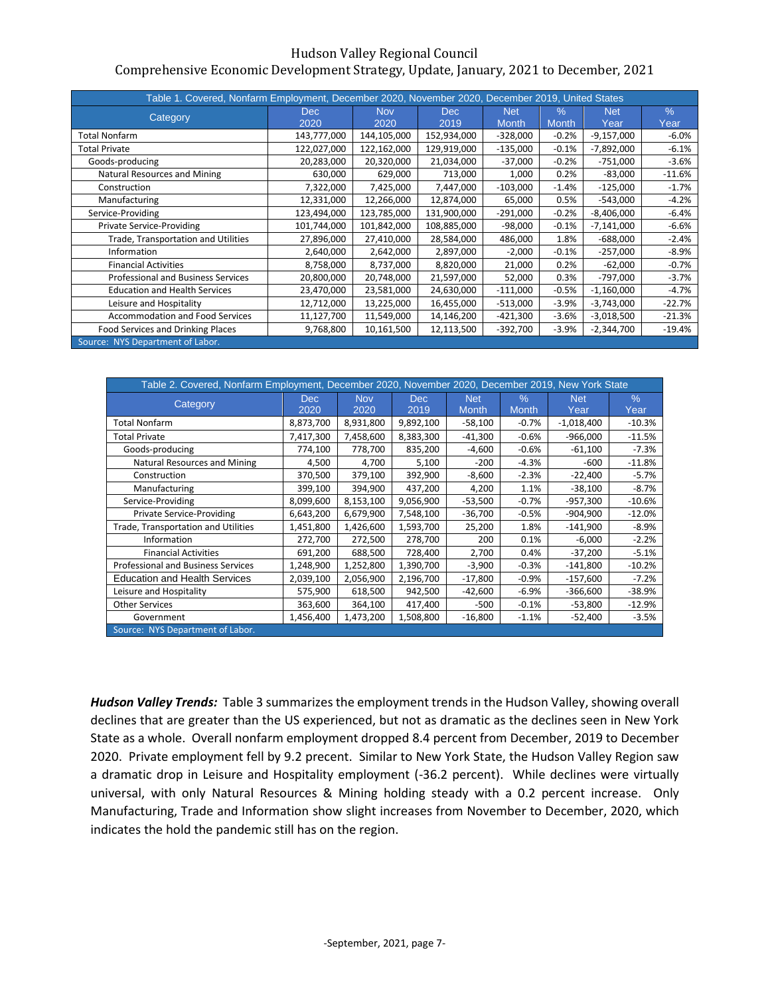| Table 1. Covered, Nonfarm Employment, December 2020, November 2020, December 2019, United States |             |             |             |              |         |              |          |
|--------------------------------------------------------------------------------------------------|-------------|-------------|-------------|--------------|---------|--------------|----------|
| Category                                                                                         | Dec.        | <b>Nov</b>  | Dec.        | <b>Net</b>   | $\%$    | <b>Net</b>   | $\%$     |
|                                                                                                  | 2020        | 2020        | 2019        | <b>Month</b> | Month,  | Year         | Year     |
| <b>Total Nonfarm</b>                                                                             | 143,777,000 | 144,105,000 | 152,934,000 | $-328,000$   | $-0.2%$ | $-9,157,000$ | $-6.0%$  |
| <b>Total Private</b>                                                                             | 122,027,000 | 122,162,000 | 129,919,000 | $-135,000$   | $-0.1%$ | $-7,892,000$ | $-6.1%$  |
| Goods-producing                                                                                  | 20,283,000  | 20,320,000  | 21,034,000  | $-37,000$    | $-0.2%$ | $-751,000$   | $-3.6%$  |
| Natural Resources and Mining                                                                     | 630,000     | 629,000     | 713,000     | 1,000        | 0.2%    | $-83,000$    | $-11.6%$ |
| Construction                                                                                     | 7,322,000   | 7,425,000   | 7,447,000   | $-103,000$   | $-1.4%$ | $-125,000$   | $-1.7%$  |
| Manufacturing                                                                                    | 12,331,000  | 12,266,000  | 12,874,000  | 65,000       | 0.5%    | $-543,000$   | $-4.2%$  |
| Service-Providing                                                                                | 123,494,000 | 123,785,000 | 131,900,000 | $-291,000$   | $-0.2%$ | $-8,406,000$ | $-6.4%$  |
| <b>Private Service-Providing</b>                                                                 | 101,744,000 | 101,842,000 | 108,885,000 | $-98,000$    | $-0.1%$ | $-7,141,000$ | $-6.6%$  |
| Trade, Transportation and Utilities                                                              | 27,896,000  | 27,410,000  | 28,584,000  | 486,000      | 1.8%    | $-688,000$   | $-2.4%$  |
| Information                                                                                      | 2,640,000   | 2,642,000   | 2,897,000   | $-2,000$     | $-0.1%$ | $-257,000$   | $-8.9%$  |
| <b>Financial Activities</b>                                                                      | 8,758,000   | 8,737,000   | 8,820,000   | 21,000       | 0.2%    | $-62,000$    | $-0.7%$  |
| <b>Professional and Business Services</b>                                                        | 20,800,000  | 20,748,000  | 21,597,000  | 52,000       | 0.3%    | $-797,000$   | $-3.7%$  |
| <b>Education and Health Services</b>                                                             | 23,470,000  | 23,581,000  | 24,630,000  | $-111,000$   | $-0.5%$ | $-1,160,000$ | $-4.7%$  |
| Leisure and Hospitality                                                                          | 12,712,000  | 13,225,000  | 16,455,000  | $-513,000$   | $-3.9%$ | $-3,743,000$ | $-22.7%$ |
| <b>Accommodation and Food Services</b>                                                           | 11,127,700  | 11,549,000  | 14,146,200  | $-421,300$   | $-3.6%$ | $-3,018,500$ | $-21.3%$ |
| Food Services and Drinking Places                                                                | 9,768,800   | 10,161,500  | 12,113,500  | $-392,700$   | $-3.9%$ | $-2,344,700$ | $-19.4%$ |
| Source: NYS Department of Labor.                                                                 |             |             |             |              |         |              |          |

|                                      | Table 2. Covered, Nonfarm Employment, December 2020, November 2020, December 2019, New York State |            |           |              |               |              |          |  |  |  |  |  |  |
|--------------------------------------|---------------------------------------------------------------------------------------------------|------------|-----------|--------------|---------------|--------------|----------|--|--|--|--|--|--|
|                                      | Dec.                                                                                              | <b>Nov</b> | Dec.      | <b>Net</b>   | $\frac{0}{0}$ | <b>Net</b>   | $\%$     |  |  |  |  |  |  |
| Category                             | 2020                                                                                              | 2020       | 2019      | <b>Month</b> | Month,        | Year         | Year     |  |  |  |  |  |  |
| <b>Total Nonfarm</b>                 | 8,873,700                                                                                         | 8,931,800  | 9,892,100 | $-58,100$    | $-0.7%$       | $-1,018,400$ | $-10.3%$ |  |  |  |  |  |  |
| <b>Total Private</b>                 | 7,417,300                                                                                         | 7,458,600  | 8,383,300 | $-41,300$    | $-0.6%$       | $-966,000$   | $-11.5%$ |  |  |  |  |  |  |
| Goods-producing                      | 774,100                                                                                           | 778,700    | 835,200   | $-4,600$     | $-0.6%$       | $-61,100$    | $-7.3%$  |  |  |  |  |  |  |
| Natural Resources and Mining         | 4,500                                                                                             | 4,700      | 5,100     | $-200$       | $-4.3%$       | -600         | $-11.8%$ |  |  |  |  |  |  |
| Construction                         | 370,500                                                                                           | 379,100    | 392,900   | $-8,600$     | $-2.3%$       | $-22,400$    | $-5.7%$  |  |  |  |  |  |  |
| Manufacturing                        | 399,100                                                                                           | 394,900    | 437,200   | 4,200        | 1.1%          | $-38,100$    | $-8.7%$  |  |  |  |  |  |  |
| Service-Providing                    | 8,099,600                                                                                         | 8,153,100  | 9,056,900 | $-53,500$    | $-0.7%$       | $-957,300$   | $-10.6%$ |  |  |  |  |  |  |
| <b>Private Service-Providing</b>     | 6,643,200                                                                                         | 6,679,900  | 7,548,100 | $-36,700$    | $-0.5%$       | $-904,900$   | $-12.0%$ |  |  |  |  |  |  |
| Trade, Transportation and Utilities  | 1,451,800                                                                                         | 1,426,600  | 1,593,700 | 25,200       | 1.8%          | $-141,900$   | $-8.9%$  |  |  |  |  |  |  |
| Information                          | 272,700                                                                                           | 272,500    | 278,700   | 200          | 0.1%          | $-6,000$     | $-2.2%$  |  |  |  |  |  |  |
| <b>Financial Activities</b>          | 691,200                                                                                           | 688,500    | 728,400   | 2,700        | 0.4%          | $-37,200$    | $-5.1%$  |  |  |  |  |  |  |
| Professional and Business Services   | 1,248,900                                                                                         | 1,252,800  | 1,390,700 | $-3,900$     | $-0.3%$       | $-141,800$   | $-10.2%$ |  |  |  |  |  |  |
| <b>Education and Health Services</b> | 2,039,100                                                                                         | 2,056,900  | 2,196,700 | $-17,800$    | $-0.9%$       | $-157,600$   | $-7.2%$  |  |  |  |  |  |  |
| Leisure and Hospitality              | 575,900                                                                                           | 618,500    | 942,500   | $-42,600$    | $-6.9%$       | $-366,600$   | $-38.9%$ |  |  |  |  |  |  |
| <b>Other Services</b>                | 363,600                                                                                           | 364,100    | 417,400   | -500         | $-0.1%$       | $-53,800$    | $-12.9%$ |  |  |  |  |  |  |
| Government                           | 1,456,400                                                                                         | 1,473,200  | 1,508,800 | $-16,800$    | $-1.1%$       | $-52,400$    | $-3.5%$  |  |  |  |  |  |  |
| Source: NYS Department of Labor.     |                                                                                                   |            |           |              |               |              |          |  |  |  |  |  |  |

*Hudson Valley Trends:* Table 3 summarizes the employment trends in the Hudson Valley, showing overall declines that are greater than the US experienced, but not as dramatic as the declines seen in New York State as a whole. Overall nonfarm employment dropped 8.4 percent from December, 2019 to December 2020. Private employment fell by 9.2 precent. Similar to New York State, the Hudson Valley Region saw a dramatic drop in Leisure and Hospitality employment (-36.2 percent). While declines were virtually universal, with only Natural Resources & Mining holding steady with a 0.2 percent increase. Only Manufacturing, Trade and Information show slight increases from November to December, 2020, which indicates the hold the pandemic still has on the region.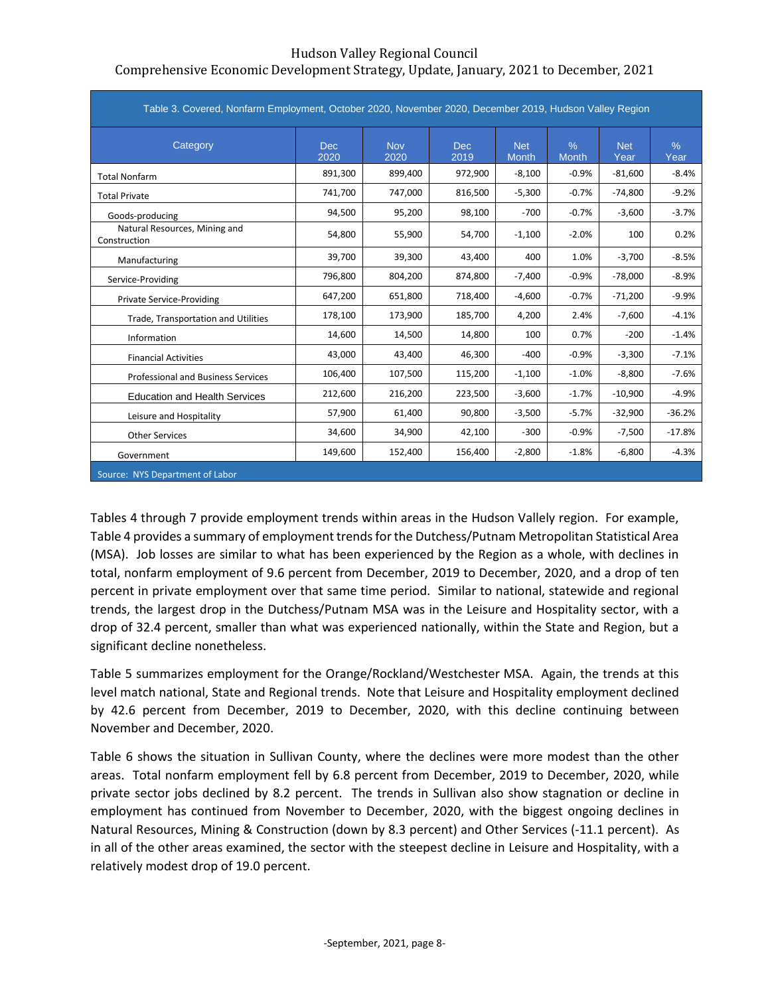| Table 3. Covered, Nonfarm Employment, October 2020, November 2020, December 2019, Hudson Valley Region |              |                    |                    |                            |                      |                    |              |
|--------------------------------------------------------------------------------------------------------|--------------|--------------------|--------------------|----------------------------|----------------------|--------------------|--------------|
| Category                                                                                               | Dec.<br>2020 | <b>Nov</b><br>2020 | <b>Dec</b><br>2019 | <b>Net</b><br><b>Month</b> | $\%$<br><b>Month</b> | <b>Net</b><br>Year | $\%$<br>Year |
| <b>Total Nonfarm</b>                                                                                   | 891,300      | 899,400            | 972,900            | $-8,100$                   | $-0.9%$              | $-81,600$          | $-8.4%$      |
| <b>Total Private</b>                                                                                   | 741,700      | 747,000            | 816,500            | $-5,300$                   | $-0.7%$              | $-74,800$          | $-9.2%$      |
| Goods-producing                                                                                        | 94,500       | 95,200             | 98,100             | $-700$                     | $-0.7%$              | $-3,600$           | $-3.7%$      |
| Natural Resources, Mining and<br>Construction                                                          | 54,800       | 55,900             | 54,700             | $-1,100$                   | $-2.0%$              | 100                | 0.2%         |
| Manufacturing                                                                                          | 39,700       | 39,300             | 43,400             | 400                        | 1.0%                 | $-3,700$           | $-8.5%$      |
| Service-Providing                                                                                      | 796,800      | 804,200            | 874,800            | $-7,400$                   | $-0.9%$              | $-78,000$          | $-8.9%$      |
| <b>Private Service-Providing</b>                                                                       | 647,200      | 651,800            | 718,400            | $-4,600$                   | $-0.7%$              | $-71,200$          | $-9.9%$      |
| Trade, Transportation and Utilities                                                                    | 178,100      | 173,900            | 185,700            | 4,200                      | 2.4%                 | $-7,600$           | $-4.1%$      |
| Information                                                                                            | 14,600       | 14,500             | 14,800             | 100                        | 0.7%                 | $-200$             | $-1.4%$      |
| <b>Financial Activities</b>                                                                            | 43,000       | 43,400             | 46,300             | $-400$                     | $-0.9%$              | $-3,300$           | $-7.1%$      |
| <b>Professional and Business Services</b>                                                              | 106,400      | 107,500            | 115,200            | $-1,100$                   | $-1.0%$              | $-8,800$           | $-7.6%$      |
| <b>Education and Health Services</b>                                                                   | 212,600      | 216,200            | 223,500            | $-3,600$                   | $-1.7%$              | $-10,900$          | $-4.9%$      |
| Leisure and Hospitality                                                                                | 57,900       | 61,400             | 90,800             | $-3,500$                   | $-5.7%$              | $-32,900$          | $-36.2%$     |
| <b>Other Services</b>                                                                                  | 34,600       | 34,900             | 42,100             | $-300$                     | $-0.9%$              | $-7,500$           | $-17.8%$     |
| Government                                                                                             | 149,600      | 152,400            | 156,400            | $-2,800$                   | $-1.8%$              | $-6,800$           | $-4.3%$      |
| Source: NYS Department of Labor                                                                        |              |                    |                    |                            |                      |                    |              |

Tables 4 through 7 provide employment trends within areas in the Hudson Vallely region. For example, Table 4 provides a summary of employment trends for the Dutchess/Putnam Metropolitan Statistical Area (MSA). Job losses are similar to what has been experienced by the Region as a whole, with declines in total, nonfarm employment of 9.6 percent from December, 2019 to December, 2020, and a drop of ten percent in private employment over that same time period. Similar to national, statewide and regional trends, the largest drop in the Dutchess/Putnam MSA was in the Leisure and Hospitality sector, with a drop of 32.4 percent, smaller than what was experienced nationally, within the State and Region, but a significant decline nonetheless.

Table 5 summarizes employment for the Orange/Rockland/Westchester MSA. Again, the trends at this level match national, State and Regional trends. Note that Leisure and Hospitality employment declined by 42.6 percent from December, 2019 to December, 2020, with this decline continuing between November and December, 2020.

Table 6 shows the situation in Sullivan County, where the declines were more modest than the other areas. Total nonfarm employment fell by 6.8 percent from December, 2019 to December, 2020, while private sector jobs declined by 8.2 percent. The trends in Sullivan also show stagnation or decline in employment has continued from November to December, 2020, with the biggest ongoing declines in Natural Resources, Mining & Construction (down by 8.3 percent) and Other Services (-11.1 percent). As in all of the other areas examined, the sector with the steepest decline in Leisure and Hospitality, with a relatively modest drop of 19.0 percent.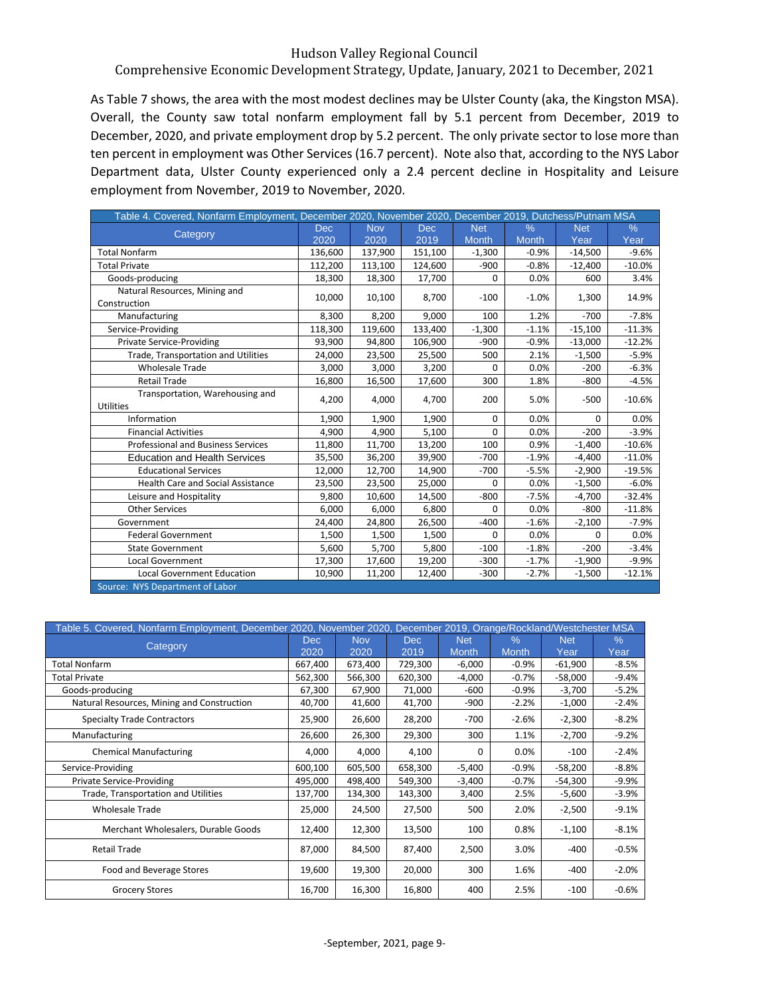# Comprehensive Economic Development Strategy, Update, January, 2021 to December, 2021

As Table 7 shows, the area with the most modest declines may be Ulster County (aka, the Kingston MSA). Overall, the County saw total nonfarm employment fall by 5.1 percent from December, 2019 to December, 2020, and private employment drop by 5.2 percent. The only private sector to lose more than ten percent in employment was Other Services (16.7 percent). Note also that, according to the NYS Labor Department data, Ulster County experienced only a 2.4 percent decline in Hospitality and Leisure employment from November, 2019 to November, 2020.

| Table 4. Covered, Nonfarm Employment, December 2020, November 2020, December 2019, Dutchess/Putnam MSA |            |            |            |              |              |            |          |
|--------------------------------------------------------------------------------------------------------|------------|------------|------------|--------------|--------------|------------|----------|
| Category                                                                                               | <b>Dec</b> | <b>Nov</b> | <b>Dec</b> | <b>Net</b>   | $\%$         | <b>Net</b> | $\%$     |
|                                                                                                        | 2020       | 2020       | 2019       | <b>Month</b> | <b>Month</b> | Year       | Year     |
| <b>Total Nonfarm</b>                                                                                   | 136,600    | 137,900    | 151,100    | $-1,300$     | $-0.9%$      | $-14,500$  | $-9.6%$  |
| <b>Total Private</b>                                                                                   | 112,200    | 113,100    | 124,600    | $-900$       | $-0.8%$      | $-12,400$  | $-10.0%$ |
| Goods-producing                                                                                        | 18,300     | 18,300     | 17,700     | 0            | 0.0%         | 600        | 3.4%     |
| Natural Resources, Mining and                                                                          | 10,000     | 10,100     | 8,700      | $-100$       | $-1.0%$      | 1,300      | 14.9%    |
| Construction                                                                                           |            |            |            |              |              |            |          |
| Manufacturing                                                                                          | 8,300      | 8,200      | 9,000      | 100          | 1.2%         | $-700$     | $-7.8%$  |
| Service-Providing                                                                                      | 118,300    | 119,600    | 133,400    | $-1,300$     | $-1.1%$      | $-15,100$  | $-11.3%$ |
| <b>Private Service-Providing</b>                                                                       | 93,900     | 94,800     | 106,900    | $-900$       | $-0.9%$      | $-13,000$  | $-12.2%$ |
| Trade, Transportation and Utilities                                                                    | 24,000     | 23,500     | 25,500     | 500          | 2.1%         | $-1,500$   | $-5.9%$  |
| <b>Wholesale Trade</b>                                                                                 | 3,000      | 3,000      | 3,200      | $\Omega$     | 0.0%         | $-200$     | $-6.3%$  |
| <b>Retail Trade</b>                                                                                    | 16,800     | 16,500     | 17,600     | 300          | 1.8%         | $-800$     | $-4.5%$  |
| Transportation, Warehousing and                                                                        | 4,200      | 4.000      | 4,700      | 200          | 5.0%         | $-500$     | $-10.6%$ |
| <b>Utilities</b>                                                                                       |            |            |            |              |              |            |          |
| Information                                                                                            | 1.900      | 1,900      | 1,900      | 0            | 0.0%         | $\Omega$   | 0.0%     |
| <b>Financial Activities</b>                                                                            | 4,900      | 4,900      | 5,100      | 0            | 0.0%         | $-200$     | $-3.9%$  |
| <b>Professional and Business Services</b>                                                              | 11,800     | 11,700     | 13,200     | 100          | 0.9%         | $-1,400$   | $-10.6%$ |
| <b>Education and Health Services</b>                                                                   | 35,500     | 36,200     | 39,900     | $-700$       | $-1.9%$      | $-4,400$   | $-11.0%$ |
| <b>Educational Services</b>                                                                            | 12,000     | 12,700     | 14,900     | $-700$       | $-5.5%$      | $-2,900$   | $-19.5%$ |
| <b>Health Care and Social Assistance</b>                                                               | 23,500     | 23,500     | 25,000     | $\Omega$     | 0.0%         | $-1,500$   | $-6.0%$  |
| Leisure and Hospitality                                                                                | 9,800      | 10,600     | 14,500     | $-800$       | $-7.5%$      | $-4,700$   | $-32.4%$ |
| <b>Other Services</b>                                                                                  | 6,000      | 6,000      | 6,800      | $\Omega$     | 0.0%         | $-800$     | $-11.8%$ |
| Government                                                                                             | 24,400     | 24,800     | 26,500     | $-400$       | $-1.6%$      | $-2,100$   | $-7.9%$  |
| <b>Federal Government</b>                                                                              | 1,500      | 1,500      | 1,500      | $\Omega$     | 0.0%         | $\Omega$   | 0.0%     |
| <b>State Government</b>                                                                                | 5,600      | 5,700      | 5,800      | $-100$       | $-1.8%$      | $-200$     | $-3.4%$  |
| <b>Local Government</b>                                                                                | 17,300     | 17,600     | 19,200     | $-300$       | $-1.7%$      | $-1,900$   | $-9.9%$  |
| <b>Local Government Education</b>                                                                      | 10,900     | 11,200     | 12,400     | $-300$       | $-2.7%$      | $-1,500$   | $-12.1%$ |
| Source: NYS Department of Labor                                                                        |            |            |            |              |              |            |          |

| Table 5. Covered, Nonfarm Employment, December 2020, November 2020, December 2019, Orange/Rockland/Westchester MSA |         |            |            |              |              |            |         |
|--------------------------------------------------------------------------------------------------------------------|---------|------------|------------|--------------|--------------|------------|---------|
| Category                                                                                                           | Dec     | <b>Nov</b> | <b>Dec</b> | <b>Net</b>   | $\%$         | <b>Net</b> | $\%$    |
|                                                                                                                    | 2020    | 2020       | 2019       | <b>Month</b> | <b>Month</b> | Year       | Year    |
| <b>Total Nonfarm</b>                                                                                               | 667,400 | 673,400    | 729,300    | $-6,000$     | $-0.9%$      | $-61,900$  | $-8.5%$ |
| <b>Total Private</b>                                                                                               | 562,300 | 566,300    | 620,300    | $-4,000$     | $-0.7%$      | $-58,000$  | $-9.4%$ |
| Goods-producing                                                                                                    | 67,300  | 67,900     | 71,000     | $-600$       | $-0.9%$      | -3,700     | $-5.2%$ |
| Natural Resources, Mining and Construction                                                                         | 40,700  | 41,600     | 41,700     | $-900$       | $-2.2%$      | $-1,000$   | $-2.4%$ |
| <b>Specialty Trade Contractors</b>                                                                                 | 25,900  | 26,600     | 28,200     | $-700$       | $-2.6%$      | $-2,300$   | $-8.2%$ |
| Manufacturing                                                                                                      | 26,600  | 26,300     | 29,300     | 300          | 1.1%         | $-2,700$   | $-9.2%$ |
| <b>Chemical Manufacturing</b>                                                                                      | 4,000   | 4,000      | 4,100      | 0            | 0.0%         | $-100$     | $-2.4%$ |
| Service-Providing                                                                                                  | 600,100 | 605,500    | 658,300    | $-5,400$     | $-0.9%$      | $-58,200$  | $-8.8%$ |
| <b>Private Service-Providing</b>                                                                                   | 495,000 | 498,400    | 549,300    | $-3,400$     | $-0.7%$      | $-54,300$  | $-9.9%$ |
| Trade, Transportation and Utilities                                                                                | 137,700 | 134,300    | 143,300    | 3,400        | 2.5%         | -5,600     | $-3.9%$ |
| <b>Wholesale Trade</b>                                                                                             | 25,000  | 24,500     | 27,500     | 500          | 2.0%         | $-2,500$   | $-9.1%$ |
| Merchant Wholesalers, Durable Goods                                                                                | 12,400  | 12,300     | 13,500     | 100          | 0.8%         | $-1,100$   | $-8.1%$ |
| Retail Trade                                                                                                       | 87,000  | 84,500     | 87,400     | 2,500        | 3.0%         | $-400$     | $-0.5%$ |
| Food and Beverage Stores                                                                                           | 19,600  | 19,300     | 20,000     | 300          | 1.6%         | $-400$     | $-2.0%$ |
| <b>Grocery Stores</b>                                                                                              | 16,700  | 16,300     | 16,800     | 400          | 2.5%         | $-100$     | $-0.6%$ |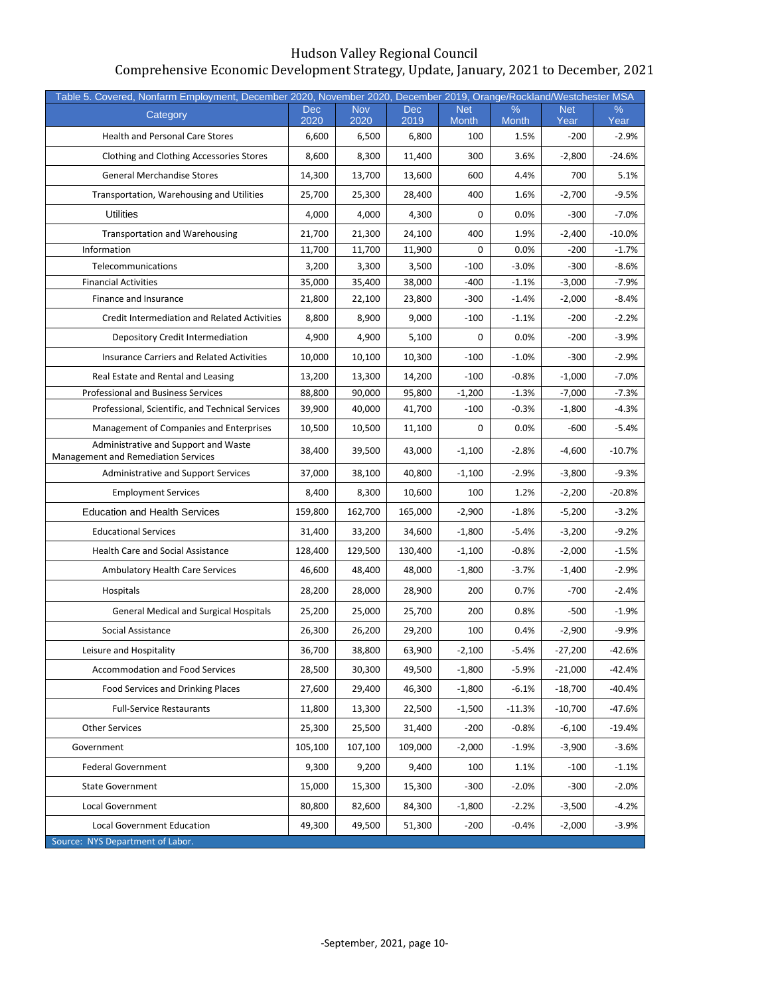| Table 5. Covered, Nonfarm Employment, December 2020, November 2020, December 2019, Orange/Rockland/Westchester MSA |             |                    |                    |                            |                   |                    |           |
|--------------------------------------------------------------------------------------------------------------------|-------------|--------------------|--------------------|----------------------------|-------------------|--------------------|-----------|
| Category                                                                                                           | Dec<br>2020 | <b>Nov</b><br>2020 | <b>Dec</b><br>2019 | <b>Net</b><br><b>Month</b> | %<br><b>Month</b> | <b>Net</b><br>Year | %<br>Year |
| <b>Health and Personal Care Stores</b>                                                                             | 6,600       | 6,500              | 6,800              | 100                        | 1.5%              | $-200$             | $-2.9%$   |
| Clothing and Clothing Accessories Stores                                                                           | 8,600       | 8,300              | 11,400             | 300                        | 3.6%              | $-2,800$           | $-24.6%$  |
| <b>General Merchandise Stores</b>                                                                                  | 14,300      | 13,700             | 13,600             | 600                        | 4.4%              | 700                | 5.1%      |
| Transportation, Warehousing and Utilities                                                                          | 25,700      | 25,300             | 28,400             | 400                        | 1.6%              | $-2,700$           | $-9.5%$   |
| <b>Utilities</b>                                                                                                   | 4,000       | 4,000              | 4.300              | 0                          | 0.0%              | $-300$             | $-7.0%$   |
| <b>Transportation and Warehousing</b>                                                                              | 21,700      | 21,300             | 24,100             | 400                        | 1.9%              | $-2,400$           | $-10.0\%$ |
| Information                                                                                                        | 11,700      | 11,700             | 11,900             | 0                          | 0.0%              | $-200$             | $-1.7%$   |
| Telecommunications                                                                                                 | 3,200       | 3,300              | 3,500              | $-100$                     | $-3.0%$           | $-300$             | $-8.6%$   |
| <b>Financial Activities</b>                                                                                        | 35,000      | 35,400             | 38,000             | $-400$                     | $-1.1%$           | $-3,000$           | $-7.9%$   |
| Finance and Insurance                                                                                              | 21,800      | 22,100             | 23,800             | $-300$                     | $-1.4%$           | $-2,000$           | $-8.4%$   |
| Credit Intermediation and Related Activities                                                                       | 8,800       | 8,900              | 9,000              | $-100$                     | $-1.1%$           | $-200$             | $-2.2%$   |
| Depository Credit Intermediation                                                                                   | 4,900       | 4,900              | 5,100              | 0                          | 0.0%              | $-200$             | $-3.9%$   |
| <b>Insurance Carriers and Related Activities</b>                                                                   | 10,000      | 10,100             | 10,300             | $-100$                     | $-1.0%$           | $-300$             | $-2.9%$   |
| Real Estate and Rental and Leasing                                                                                 | 13,200      | 13,300             | 14,200             | $-100$                     | $-0.8%$           | $-1,000$           | $-7.0%$   |
| <b>Professional and Business Services</b>                                                                          | 88,800      | 90,000             | 95,800             | $-1,200$                   | $-1.3%$           | $-7,000$           | $-7.3%$   |
| Professional, Scientific, and Technical Services                                                                   | 39,900      | 40,000             | 41,700             | $-100$                     | $-0.3%$           | $-1,800$           | $-4.3%$   |
| Management of Companies and Enterprises                                                                            | 10,500      | 10,500             | 11,100             | 0                          | 0.0%              | $-600$             | $-5.4%$   |
| Administrative and Support and Waste<br>Management and Remediation Services                                        | 38,400      | 39,500             | 43,000             | $-1,100$                   | $-2.8%$           | $-4,600$           | $-10.7%$  |
| <b>Administrative and Support Services</b>                                                                         | 37,000      | 38,100             | 40,800             | $-1,100$                   | $-2.9%$           | $-3,800$           | $-9.3%$   |
| <b>Employment Services</b>                                                                                         | 8,400       | 8,300              | 10,600             | 100                        | 1.2%              | $-2,200$           | $-20.8%$  |
| <b>Education and Health Services</b>                                                                               | 159,800     | 162,700            | 165,000            | $-2,900$                   | $-1.8%$           | $-5,200$           | $-3.2%$   |
| <b>Educational Services</b>                                                                                        | 31,400      | 33,200             | 34,600             | $-1,800$                   | $-5.4%$           | $-3,200$           | $-9.2%$   |
| <b>Health Care and Social Assistance</b>                                                                           | 128,400     | 129,500            | 130,400            | $-1,100$                   | $-0.8%$           | $-2,000$           | $-1.5%$   |
| <b>Ambulatory Health Care Services</b>                                                                             | 46,600      | 48,400             | 48,000             | $-1,800$                   | $-3.7%$           | $-1,400$           | $-2.9%$   |
| Hospitals                                                                                                          | 28,200      | 28,000             | 28,900             | 200                        | 0.7%              | $-700$             | $-2.4%$   |
| <b>General Medical and Surgical Hospitals</b>                                                                      | 25,200      | 25,000             | 25,700             | 200                        | 0.8%              | $-500$             | $-1.9%$   |
| Social Assistance                                                                                                  | 26,300      | 26,200             | 29,200             | 100                        | 0.4%              | $-2,900$           | $-9.9%$   |
| Leisure and Hospitality                                                                                            | 36,700      | 38,800             | 63,900             | $-2,100$                   | $-5.4%$           | $-27,200$          | $-42.6%$  |
| <b>Accommodation and Food Services</b>                                                                             | 28,500      | 30,300             | 49,500             | $-1,800$                   | -5.9%             | $-21,000$          | -42.4%    |
| Food Services and Drinking Places                                                                                  | 27,600      | 29,400             | 46,300             | $-1,800$                   | $-6.1%$           | $-18,700$          | $-40.4%$  |
| <b>Full-Service Restaurants</b>                                                                                    | 11,800      | 13,300             | 22,500             | $-1,500$                   | $-11.3%$          | $-10,700$          | $-47.6%$  |
| <b>Other Services</b>                                                                                              | 25,300      | 25,500             | 31,400             | $-200$                     | $-0.8%$           | $-6,100$           | $-19.4%$  |
| Government                                                                                                         | 105,100     | 107,100            | 109,000            | $-2,000$                   | $-1.9%$           | $-3,900$           | $-3.6%$   |
| <b>Federal Government</b>                                                                                          | 9,300       | 9,200              | 9,400              | 100                        | 1.1%              | $-100$             | $-1.1%$   |
| <b>State Government</b>                                                                                            | 15,000      | 15,300             | 15,300             | $-300$                     | $-2.0%$           | $-300$             | $-2.0%$   |
| <b>Local Government</b>                                                                                            | 80,800      | 82,600             | 84,300             | $-1,800$                   | $-2.2%$           | $-3,500$           | $-4.2%$   |
| Local Government Education                                                                                         | 49,300      | 49,500             | 51,300             | $-200$                     | $-0.4%$           | $-2,000$           | $-3.9%$   |
| Source: NYS Department of Labor.                                                                                   |             |                    |                    |                            |                   |                    |           |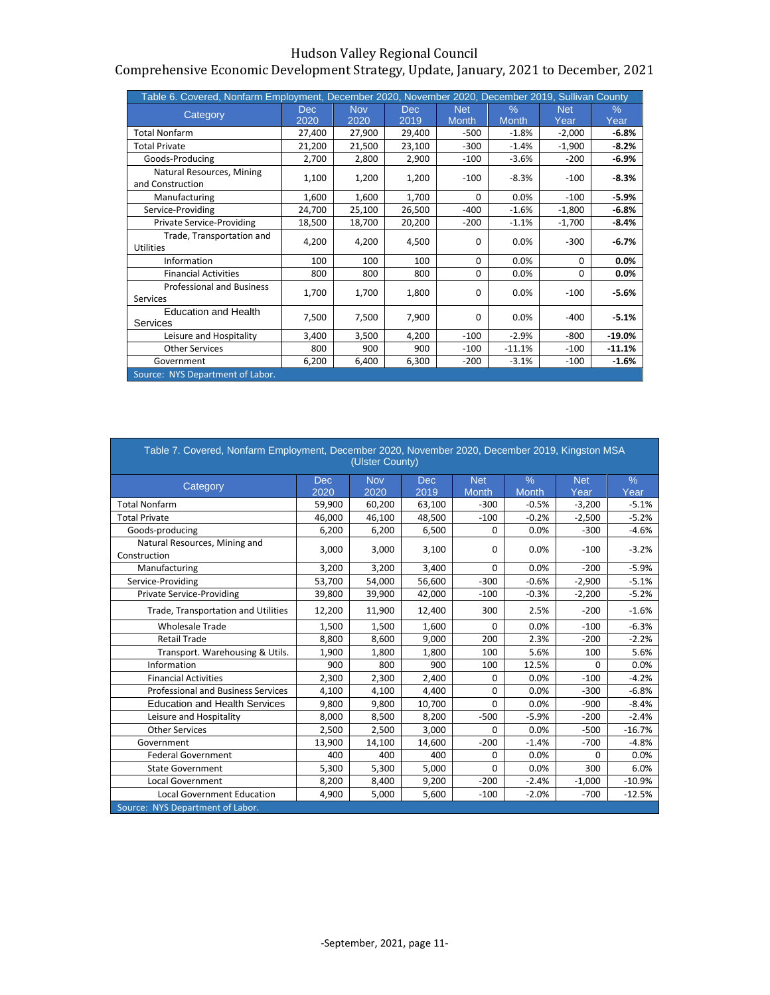## Comprehensive Economic Development Strategy, Update, January, 2021 to December, 2021

| Table 6. Covered, Nonfarm Employment, December 2020, November 2020, December 2019, Sullivan County |             |                    |              |                            |                      |                    |              |
|----------------------------------------------------------------------------------------------------|-------------|--------------------|--------------|----------------------------|----------------------|--------------------|--------------|
| Category                                                                                           | Dec<br>2020 | <b>Nov</b><br>2020 | Dec.<br>2019 | <b>Net</b><br><b>Month</b> | $\%$<br><b>Month</b> | <b>Net</b><br>Year | $\%$<br>Year |
| <b>Total Nonfarm</b>                                                                               | 27,400      | 27,900             | 29,400       | $-500$                     | $-1.8%$              | $-2,000$           | $-6.8%$      |
| <b>Total Private</b>                                                                               | 21,200      | 21,500             | 23,100       | $-300$                     | $-1.4%$              | $-1,900$           | $-8.2%$      |
| Goods-Producing                                                                                    | 2,700       | 2,800              | 2,900        | $-100$                     | $-3.6%$              | $-200$             | $-6.9%$      |
| Natural Resources, Mining<br>and Construction                                                      | 1,100       | 1,200              | 1,200        | $-100$                     | $-8.3%$              | $-100$             | $-8.3%$      |
| Manufacturing                                                                                      | 1,600       | 1,600              | 1,700        | 0                          | 0.0%                 | $-100$             | $-5.9%$      |
| Service-Providing                                                                                  | 24,700      | 25,100             | 26,500       | $-400$                     | $-1.6%$              | $-1,800$           | $-6.8%$      |
| <b>Private Service-Providing</b>                                                                   | 18,500      | 18,700             | 20,200       | $-200$                     | $-1.1%$              | $-1,700$           | $-8.4%$      |
| Trade, Transportation and<br><b>Utilities</b>                                                      | 4,200       | 4,200              | 4,500        | $\Omega$                   | 0.0%                 | $-300$             | $-6.7%$      |
| Information                                                                                        | 100         | 100                | 100          | $\Omega$                   | 0.0%                 | $\Omega$           | $0.0\%$      |
| <b>Financial Activities</b>                                                                        | 800         | 800                | 800          | 0                          | 0.0%                 | 0                  | $0.0\%$      |
| <b>Professional and Business</b><br>Services                                                       | 1,700       | 1,700              | 1,800        | $\Omega$                   | 0.0%                 | $-100$             | $-5.6%$      |
| <b>Education and Health</b><br>Services                                                            | 7,500       | 7,500              | 7,900        | <sup>0</sup>               | 0.0%                 | $-400$             | $-5.1%$      |
| Leisure and Hospitality                                                                            | 3,400       | 3,500              | 4,200        | $-100$                     | $-2.9%$              | $-800$             | $-19.0%$     |
| <b>Other Services</b>                                                                              | 800         | 900                | 900          | $-100$                     | $-11.1%$             | $-100$             | $-11.1%$     |
| Government                                                                                         | 6,200       | 6,400              | 6,300        | $-200$                     | $-3.1%$              | $-100$             | $-1.6%$      |
| Source: NYS Department of Labor.                                                                   |             |                    |              |                            |                      |                    |              |

| Table 7. Covered, Nonfarm Employment, December 2020, November 2020, December 2019, Kingston MSA<br>(Ulster County) |                    |                    |                    |                            |                      |                    |              |  |  |  |  |  |
|--------------------------------------------------------------------------------------------------------------------|--------------------|--------------------|--------------------|----------------------------|----------------------|--------------------|--------------|--|--|--|--|--|
| Category                                                                                                           | <b>Dec</b><br>2020 | <b>Nov</b><br>2020 | <b>Dec</b><br>2019 | <b>Net</b><br><b>Month</b> | $\%$<br><b>Month</b> | <b>Net</b><br>Year | $\%$<br>Year |  |  |  |  |  |
| <b>Total Nonfarm</b>                                                                                               | 59,900             | 60,200             | 63,100             | $-300$                     | $-0.5%$              | $-3,200$           | $-5.1%$      |  |  |  |  |  |
| <b>Total Private</b>                                                                                               | 46,000             | 46,100             | 48,500             | $-100$                     | $-0.2%$              | $-2,500$           | $-5.2%$      |  |  |  |  |  |
| Goods-producing                                                                                                    | 6,200              | 6,200              | 6,500              | 0                          | 0.0%                 | $-300$             | $-4.6%$      |  |  |  |  |  |
| Natural Resources, Mining and<br>Construction                                                                      | 3,000              | 3,000              | 3,100              | 0                          | 0.0%                 | $-100$             | $-3.2%$      |  |  |  |  |  |
| Manufacturing                                                                                                      | 3,200              | 3,200              | 3,400              | $\Omega$                   | 0.0%                 | $-200$             | $-5.9%$      |  |  |  |  |  |
| Service-Providing                                                                                                  | 53,700             | 54,000             | 56,600             | $-300$                     | $-0.6%$              | $-2,900$           | $-5.1%$      |  |  |  |  |  |
| <b>Private Service-Providing</b>                                                                                   | 39,800             | 39,900             | 42,000             | $-100$                     | $-0.3%$              | $-2,200$           | $-5.2%$      |  |  |  |  |  |
| Trade, Transportation and Utilities                                                                                | 12,200             | 11,900             | 12,400             | 300                        | 2.5%                 | $-200$             | $-1.6%$      |  |  |  |  |  |
| <b>Wholesale Trade</b>                                                                                             | 1,500              | 1,500              | 1,600              | 0                          | 0.0%                 | $-100$             | $-6.3%$      |  |  |  |  |  |
| <b>Retail Trade</b>                                                                                                | 8,800              | 8,600              | 9,000              | 200                        | 2.3%                 | $-200$             | $-2.2%$      |  |  |  |  |  |
| Transport. Warehousing & Utils.                                                                                    | 1,900              | 1,800              | 1,800              | 100                        | 5.6%                 | 100                | 5.6%         |  |  |  |  |  |
| Information                                                                                                        | 900                | 800                | 900                | 100                        | 12.5%                | 0                  | 0.0%         |  |  |  |  |  |
| <b>Financial Activities</b>                                                                                        | 2,300              | 2,300              | 2,400              | 0                          | 0.0%                 | $-100$             | $-4.2%$      |  |  |  |  |  |
| <b>Professional and Business Services</b>                                                                          | 4,100              | 4,100              | 4,400              | 0                          | 0.0%                 | $-300$             | $-6.8%$      |  |  |  |  |  |
| <b>Education and Health Services</b>                                                                               | 9,800              | 9,800              | 10,700             | 0                          | 0.0%                 | $-900$             | $-8.4%$      |  |  |  |  |  |
| Leisure and Hospitality                                                                                            | 8,000              | 8,500              | 8,200              | $-500$                     | $-5.9%$              | $-200$             | $-2.4%$      |  |  |  |  |  |
| <b>Other Services</b>                                                                                              | 2,500              | 2,500              | 3,000              | 0                          | 0.0%                 | $-500$             | $-16.7%$     |  |  |  |  |  |
| Government                                                                                                         | 13,900             | 14,100             | 14,600             | $-200$                     | $-1.4%$              | $-700$             | $-4.8%$      |  |  |  |  |  |
| <b>Federal Government</b>                                                                                          | 400                | 400                | 400                | 0                          | 0.0%                 | 0                  | 0.0%         |  |  |  |  |  |
| <b>State Government</b>                                                                                            | 5,300              | 5,300              | 5,000              | 0                          | 0.0%                 | 300                | 6.0%         |  |  |  |  |  |
| <b>Local Government</b>                                                                                            | 8,200              | 8,400              | 9,200              | $-200$                     | $-2.4%$              | $-1,000$           | $-10.9%$     |  |  |  |  |  |
| <b>Local Government Education</b>                                                                                  | 4,900              | 5,000              | 5,600              | $-100$                     | $-2.0%$              | $-700$             | $-12.5%$     |  |  |  |  |  |
| Source: NYS Department of Labor.                                                                                   |                    |                    |                    |                            |                      |                    |              |  |  |  |  |  |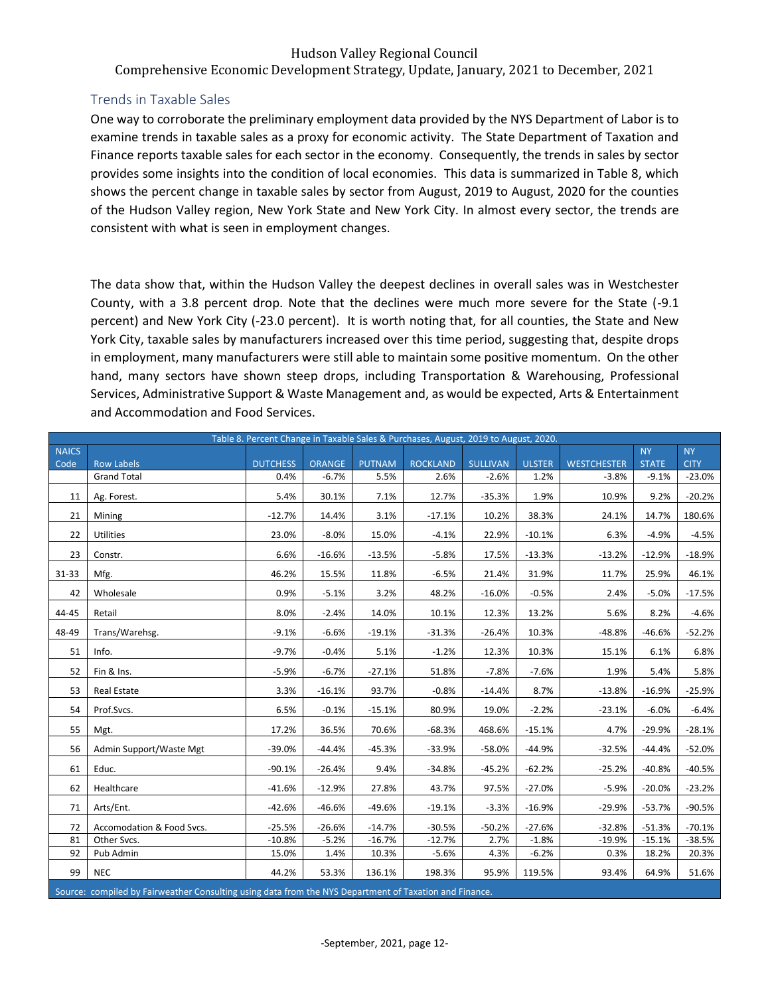Comprehensive Economic Development Strategy, Update, January, 2021 to December, 2021

## <span id="page-12-0"></span>Trends in Taxable Sales

One way to corroborate the preliminary employment data provided by the NYS Department of Labor is to examine trends in taxable sales as a proxy for economic activity. The State Department of Taxation and Finance reports taxable sales for each sector in the economy. Consequently, the trends in sales by sector provides some insights into the condition of local economies. This data is summarized in Table 8, which shows the percent change in taxable sales by sector from August, 2019 to August, 2020 for the counties of the Hudson Valley region, New York State and New York City. In almost every sector, the trends are consistent with what is seen in employment changes.

The data show that, within the Hudson Valley the deepest declines in overall sales was in Westchester County, with a 3.8 percent drop. Note that the declines were much more severe for the State (-9.1 percent) and New York City (-23.0 percent). It is worth noting that, for all counties, the State and New York City, taxable sales by manufacturers increased over this time period, suggesting that, despite drops in employment, many manufacturers were still able to maintain some positive momentum. On the other hand, many sectors have shown steep drops, including Transportation & Warehousing, Professional Services, Administrative Support & Waste Management and, as would be expected, Arts & Entertainment and Accommodation and Food Services.

|              |                                                                                                        |                 |               |               | Table 8. Percent Change in Taxable Sales & Purchases, August, 2019 to August, 2020. |                 |               |                    |              |             |
|--------------|--------------------------------------------------------------------------------------------------------|-----------------|---------------|---------------|-------------------------------------------------------------------------------------|-----------------|---------------|--------------------|--------------|-------------|
| <b>NAICS</b> |                                                                                                        |                 |               |               |                                                                                     |                 |               |                    | <b>NY</b>    | <b>NY</b>   |
| Code         | <b>Row Labels</b>                                                                                      | <b>DUTCHESS</b> | <b>ORANGE</b> | <b>PUTNAM</b> | <b>ROCKLAND</b>                                                                     | <b>SULLIVAN</b> | <b>ULSTER</b> | <b>WESTCHESTER</b> | <b>STATE</b> | <b>CITY</b> |
|              | <b>Grand Total</b>                                                                                     | 0.4%            | $-6.7%$       | 5.5%          | 2.6%                                                                                | $-2.6%$         | 1.2%          | $-3.8%$            | $-9.1%$      | $-23.0%$    |
| 11           | Ag. Forest.                                                                                            | 5.4%            | 30.1%         | 7.1%          | 12.7%                                                                               | $-35.3%$        | 1.9%          | 10.9%              | 9.2%         | $-20.2%$    |
| 21           | Mining                                                                                                 | $-12.7%$        | 14.4%         | 3.1%          | $-17.1%$                                                                            | 10.2%           | 38.3%         | 24.1%              | 14.7%        | 180.6%      |
| 22           | <b>Utilities</b>                                                                                       | 23.0%           | $-8.0%$       | 15.0%         | $-4.1%$                                                                             | 22.9%           | $-10.1%$      | 6.3%               | $-4.9%$      | $-4.5%$     |
| 23           | Constr.                                                                                                | 6.6%            | $-16.6%$      | $-13.5%$      | $-5.8%$                                                                             | 17.5%           | $-13.3%$      | $-13.2%$           | $-12.9%$     | $-18.9%$    |
| 31-33        | Mfg.                                                                                                   | 46.2%           | 15.5%         | 11.8%         | $-6.5%$                                                                             | 21.4%           | 31.9%         | 11.7%              | 25.9%        | 46.1%       |
| 42           | Wholesale                                                                                              | 0.9%            | $-5.1%$       | 3.2%          | 48.2%                                                                               | $-16.0%$        | $-0.5%$       | 2.4%               | $-5.0%$      | $-17.5%$    |
| 44-45        | Retail                                                                                                 | 8.0%            | $-2.4%$       | 14.0%         | 10.1%                                                                               | 12.3%           | 13.2%         | 5.6%               | 8.2%         | $-4.6%$     |
| 48-49        | Trans/Warehsg.                                                                                         | $-9.1%$         | $-6.6%$       | $-19.1%$      | $-31.3%$                                                                            | $-26.4%$        | 10.3%         | $-48.8%$           | $-46.6%$     | $-52.2%$    |
| 51           | Info.                                                                                                  | $-9.7%$         | $-0.4%$       | 5.1%          | $-1.2%$                                                                             | 12.3%           | 10.3%         | 15.1%              | 6.1%         | 6.8%        |
| 52           | Fin & Ins.                                                                                             | $-5.9%$         | $-6.7%$       | $-27.1%$      | 51.8%                                                                               | $-7.8%$         | $-7.6%$       | 1.9%               | 5.4%         | 5.8%        |
| 53           | <b>Real Estate</b>                                                                                     | 3.3%            | $-16.1%$      | 93.7%         | $-0.8%$                                                                             | $-14.4%$        | 8.7%          | $-13.8%$           | $-16.9%$     | $-25.9%$    |
| 54           | Prof.Svcs.                                                                                             | 6.5%            | $-0.1%$       | $-15.1%$      | 80.9%                                                                               | 19.0%           | $-2.2%$       | $-23.1%$           | $-6.0%$      | $-6.4%$     |
| 55           | Mgt.                                                                                                   | 17.2%           | 36.5%         | 70.6%         | $-68.3%$                                                                            | 468.6%          | $-15.1%$      | 4.7%               | $-29.9%$     | $-28.1%$    |
| 56           | Admin Support/Waste Mgt                                                                                | $-39.0%$        | $-44.4%$      | $-45.3%$      | $-33.9%$                                                                            | $-58.0%$        | $-44.9%$      | $-32.5%$           | $-44.4%$     | $-52.0%$    |
| 61           | Educ.                                                                                                  | $-90.1%$        | $-26.4%$      | 9.4%          | $-34.8%$                                                                            | $-45.2%$        | $-62.2%$      | $-25.2%$           | $-40.8%$     | $-40.5%$    |
| 62           | Healthcare                                                                                             | $-41.6%$        | $-12.9%$      | 27.8%         | 43.7%                                                                               | 97.5%           | $-27.0%$      | $-5.9%$            | $-20.0%$     | $-23.2%$    |
| 71           | Arts/Ent.                                                                                              | $-42.6%$        | $-46.6%$      | $-49.6%$      | $-19.1%$                                                                            | $-3.3%$         | $-16.9%$      | $-29.9%$           | $-53.7%$     | $-90.5%$    |
| 72           | Accomodation & Food Svcs.                                                                              | $-25.5%$        | $-26.6%$      | $-14.7%$      | $-30.5%$                                                                            | $-50.2%$        | $-27.6%$      | $-32.8%$           | $-51.3%$     | $-70.1%$    |
| 81           | Other Svcs.                                                                                            | $-10.8%$        | $-5.2%$       | $-16.7%$      | $-12.7%$                                                                            | 2.7%            | $-1.8%$       | $-19.9%$           | $-15.1%$     | $-38.5%$    |
| 92           | Pub Admin                                                                                              | 15.0%           | 1.4%          | 10.3%         | $-5.6%$                                                                             | 4.3%            | $-6.2%$       | 0.3%               | 18.2%        | 20.3%       |
| 99           | <b>NEC</b>                                                                                             | 44.2%           | 53.3%         | 136.1%        | 198.3%                                                                              | 95.9%           | 119.5%        | 93.4%              | 64.9%        | 51.6%       |
|              | Source: compiled by Fairweather Consulting using data from the NYS Department of Taxation and Finance. |                 |               |               |                                                                                     |                 |               |                    |              |             |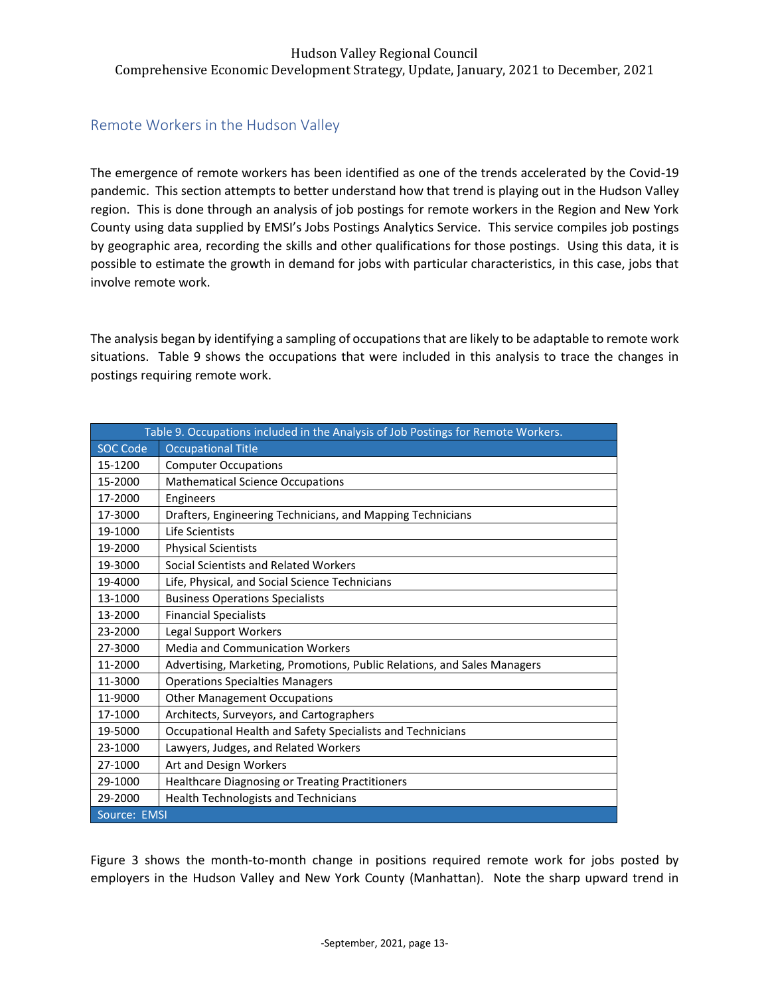# <span id="page-13-0"></span>Remote Workers in the Hudson Valley

The emergence of remote workers has been identified as one of the trends accelerated by the Covid-19 pandemic. This section attempts to better understand how that trend is playing out in the Hudson Valley region. This is done through an analysis of job postings for remote workers in the Region and New York County using data supplied by EMSI's Jobs Postings Analytics Service. This service compiles job postings by geographic area, recording the skills and other qualifications for those postings. Using this data, it is possible to estimate the growth in demand for jobs with particular characteristics, in this case, jobs that involve remote work.

The analysis began by identifying a sampling of occupations that are likely to be adaptable to remote work situations. Table 9 shows the occupations that were included in this analysis to trace the changes in postings requiring remote work.

|                 | Table 9. Occupations included in the Analysis of Job Postings for Remote Workers. |
|-----------------|-----------------------------------------------------------------------------------|
| <b>SOC Code</b> | <b>Occupational Title</b>                                                         |
| 15-1200         | <b>Computer Occupations</b>                                                       |
| 15-2000         | <b>Mathematical Science Occupations</b>                                           |
| 17-2000         | Engineers                                                                         |
| 17-3000         | Drafters, Engineering Technicians, and Mapping Technicians                        |
| 19-1000         | <b>Life Scientists</b>                                                            |
| 19-2000         | <b>Physical Scientists</b>                                                        |
| 19-3000         | Social Scientists and Related Workers                                             |
| 19-4000         | Life, Physical, and Social Science Technicians                                    |
| 13-1000         | <b>Business Operations Specialists</b>                                            |
| 13-2000         | <b>Financial Specialists</b>                                                      |
| 23-2000         | Legal Support Workers                                                             |
| 27-3000         | <b>Media and Communication Workers</b>                                            |
| 11-2000         | Advertising, Marketing, Promotions, Public Relations, and Sales Managers          |
| 11-3000         | <b>Operations Specialties Managers</b>                                            |
| 11-9000         | <b>Other Management Occupations</b>                                               |
| 17-1000         | Architects, Surveyors, and Cartographers                                          |
| 19-5000         | Occupational Health and Safety Specialists and Technicians                        |
| 23-1000         | Lawyers, Judges, and Related Workers                                              |
| 27-1000         | Art and Design Workers                                                            |
| 29-1000         | Healthcare Diagnosing or Treating Practitioners                                   |
| 29-2000         | <b>Health Technologists and Technicians</b>                                       |
| Source: EMSI    |                                                                                   |

Figure 3 shows the month-to-month change in positions required remote work for jobs posted by employers in the Hudson Valley and New York County (Manhattan). Note the sharp upward trend in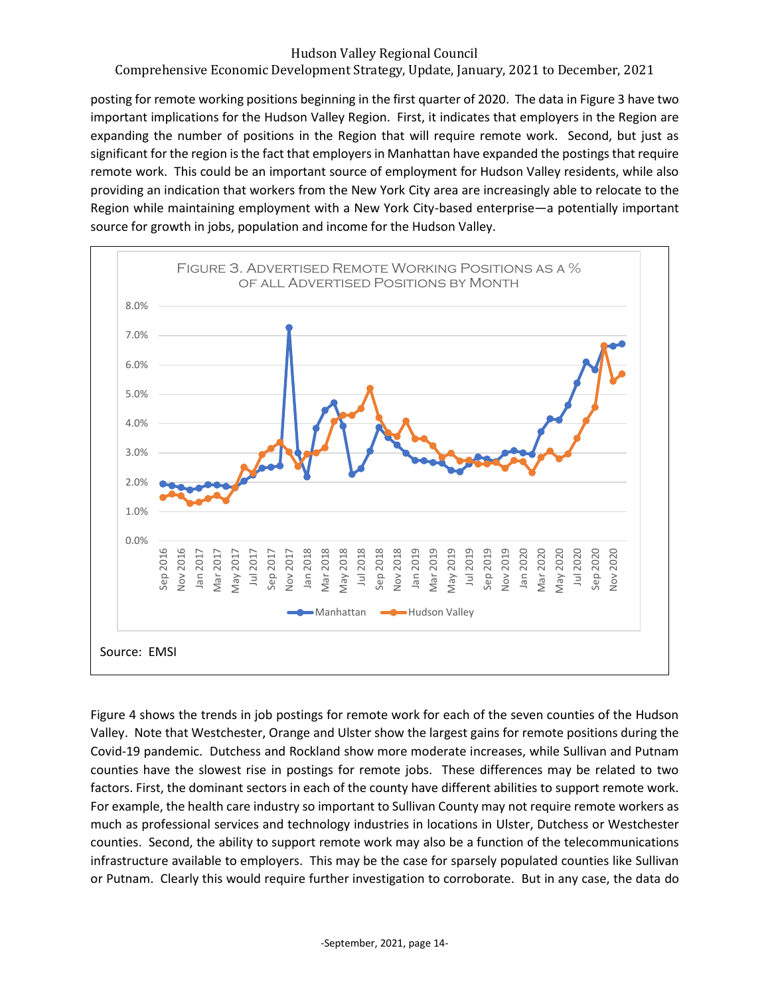# Comprehensive Economic Development Strategy, Update, January, 2021 to December, 2021

posting for remote working positions beginning in the first quarter of 2020. The data in Figure 3 have two important implications for the Hudson Valley Region. First, it indicates that employers in the Region are expanding the number of positions in the Region that will require remote work. Second, but just as significant for the region is the fact that employers in Manhattan have expanded the postings that require remote work. This could be an important source of employment for Hudson Valley residents, while also providing an indication that workers from the New York City area are increasingly able to relocate to the Region while maintaining employment with a New York City-based enterprise—a potentially important source for growth in jobs, population and income for the Hudson Valley.



Figure 4 shows the trends in job postings for remote work for each of the seven counties of the Hudson Valley. Note that Westchester, Orange and Ulster show the largest gains for remote positions during the Covid-19 pandemic. Dutchess and Rockland show more moderate increases, while Sullivan and Putnam counties have the slowest rise in postings for remote jobs. These differences may be related to two factors. First, the dominant sectors in each of the county have different abilities to support remote work. For example, the health care industry so important to Sullivan County may not require remote workers as much as professional services and technology industries in locations in Ulster, Dutchess or Westchester counties. Second, the ability to support remote work may also be a function of the telecommunications infrastructure available to employers. This may be the case for sparsely populated counties like Sullivan or Putnam. Clearly this would require further investigation to corroborate. But in any case, the data do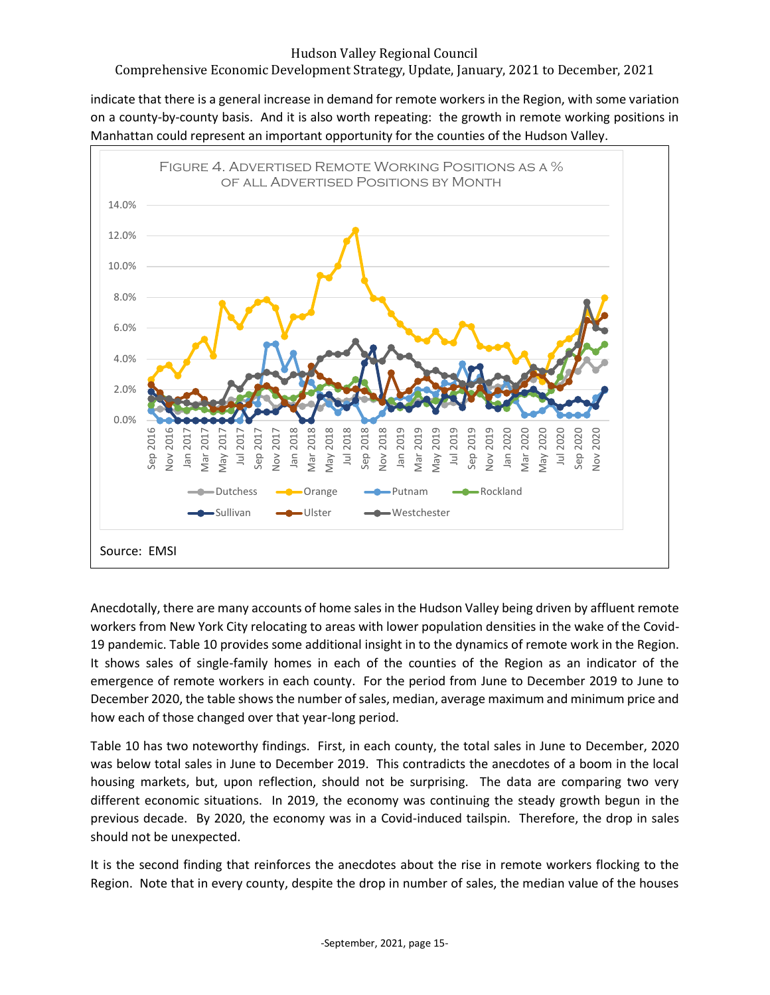# Comprehensive Economic Development Strategy, Update, January, 2021 to December, 2021

indicate that there is a general increase in demand for remote workers in the Region, with some variation on a county-by-county basis. And it is also worth repeating: the growth in remote working positions in Manhattan could represent an important opportunity for the counties of the Hudson Valley.



Anecdotally, there are many accounts of home sales in the Hudson Valley being driven by affluent remote workers from New York City relocating to areas with lower population densities in the wake of the Covid-19 pandemic. Table 10 provides some additional insight in to the dynamics of remote work in the Region. It shows sales of single-family homes in each of the counties of the Region as an indicator of the emergence of remote workers in each county. For the period from June to December 2019 to June to December 2020, the table shows the number of sales, median, average maximum and minimum price and how each of those changed over that year-long period.

Table 10 has two noteworthy findings. First, in each county, the total sales in June to December, 2020 was below total sales in June to December 2019. This contradicts the anecdotes of a boom in the local housing markets, but, upon reflection, should not be surprising. The data are comparing two very different economic situations. In 2019, the economy was continuing the steady growth begun in the previous decade. By 2020, the economy was in a Covid-induced tailspin. Therefore, the drop in sales should not be unexpected.

It is the second finding that reinforces the anecdotes about the rise in remote workers flocking to the Region. Note that in every county, despite the drop in number of sales, the median value of the houses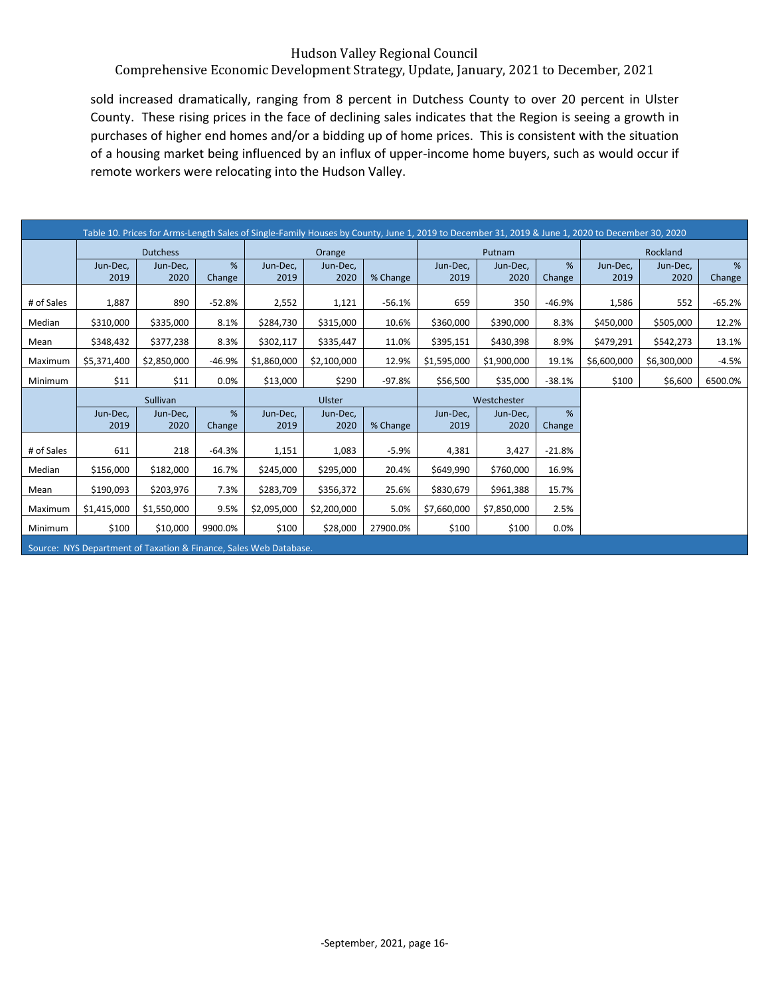# Comprehensive Economic Development Strategy, Update, January, 2021 to December, 2021

sold increased dramatically, ranging from 8 percent in Dutchess County to over 20 percent in Ulster County. These rising prices in the face of declining sales indicates that the Region is seeing a growth in purchases of higher end homes and/or a bidding up of home prices. This is consistent with the situation of a housing market being influenced by an influx of upper-income home buyers, such as would occur if remote workers were relocating into the Hudson Valley.

|            |                  |                  |          | Table 10. Prices for Arms-Length Sales of Single-Family Houses by County, June 1, 2019 to December 31, 2019 & June 1, 2020 to December 30, 2020 |                  |             |                  |                  |             |                  |                  |          |
|------------|------------------|------------------|----------|-------------------------------------------------------------------------------------------------------------------------------------------------|------------------|-------------|------------------|------------------|-------------|------------------|------------------|----------|
|            |                  | <b>Dutchess</b>  |          |                                                                                                                                                 | Orange           |             |                  | Putnam           |             |                  | Rockland         |          |
|            | Jun-Dec,<br>2019 | Jun-Dec.<br>2020 | %        | Jun-Dec.<br>2019                                                                                                                                | Jun-Dec,<br>2020 |             | Jun-Dec.<br>2019 | Jun-Dec,<br>2020 | %<br>Change | Jun-Dec.<br>2019 | Jun-Dec,<br>2020 | %        |
|            |                  |                  | Change   |                                                                                                                                                 |                  | % Change    |                  |                  |             |                  |                  | Change   |
| # of Sales | 1,887            | 890              | $-52.8%$ | 2,552                                                                                                                                           | 1,121            | $-56.1%$    | 659              | 350              | $-46.9%$    | 1,586            | 552              | $-65.2%$ |
| Median     | \$310,000        | \$335,000        | 8.1%     | \$284,730                                                                                                                                       | \$315,000        | 10.6%       | \$360,000        | \$390,000        | 8.3%        | \$450,000        | \$505,000        | 12.2%    |
| Mean       | \$348,432        | \$377,238        | 8.3%     | \$302,117                                                                                                                                       | \$335,447        | 11.0%       | \$395,151        | \$430,398        | 8.9%        | \$479,291        | \$542,273        | 13.1%    |
| Maximum    | \$5,371,400      | \$2,850,000      | $-46.9%$ | \$1,860,000                                                                                                                                     | \$2,100,000      | 12.9%       | \$1,595,000      | \$1,900,000      | 19.1%       | \$6,600,000      | \$6,300,000      | $-4.5%$  |
| Minimum    | \$11             | \$11             | 0.0%     | \$13,000                                                                                                                                        | \$290            | -97.8%      | \$56,500         | \$35,000         | $-38.1%$    | \$100            | \$6,600          | 6500.0%  |
|            |                  |                  |          |                                                                                                                                                 |                  | Westchester |                  |                  |             |                  |                  |          |
|            |                  | Sullivan         |          |                                                                                                                                                 | Ulster           |             |                  |                  |             |                  |                  |          |
|            | Jun-Dec,         | Jun-Dec,         | %        | Jun-Dec,                                                                                                                                        | Jun-Dec,         |             | Jun-Dec,         | Jun-Dec,         | %           |                  |                  |          |
|            | 2019             | 2020             | Change   | 2019                                                                                                                                            | 2020             | % Change    | 2019             | 2020             | Change      |                  |                  |          |
| # of Sales | 611              | 218              | $-64.3%$ | 1,151                                                                                                                                           | 1,083            | $-5.9%$     | 4,381            | 3,427            | $-21.8%$    |                  |                  |          |
| Median     | \$156,000        | \$182,000        | 16.7%    | \$245,000                                                                                                                                       | \$295,000        | 20.4%       | \$649,990        | \$760,000        | 16.9%       |                  |                  |          |
| Mean       | \$190,093        | \$203,976        | 7.3%     | \$283,709                                                                                                                                       | \$356,372        | 25.6%       | \$830,679        | \$961,388        | 15.7%       |                  |                  |          |
| Maximum    | \$1,415,000      | \$1,550,000      | 9.5%     | \$2,095,000                                                                                                                                     | \$2,200,000      | 5.0%        | \$7,660,000      | \$7,850,000      | 2.5%        |                  |                  |          |
| Minimum    | \$100            | \$10,000         | 9900.0%  | \$100                                                                                                                                           | \$28,000         | 27900.0%    | \$100            | \$100            | 0.0%        |                  |                  |          |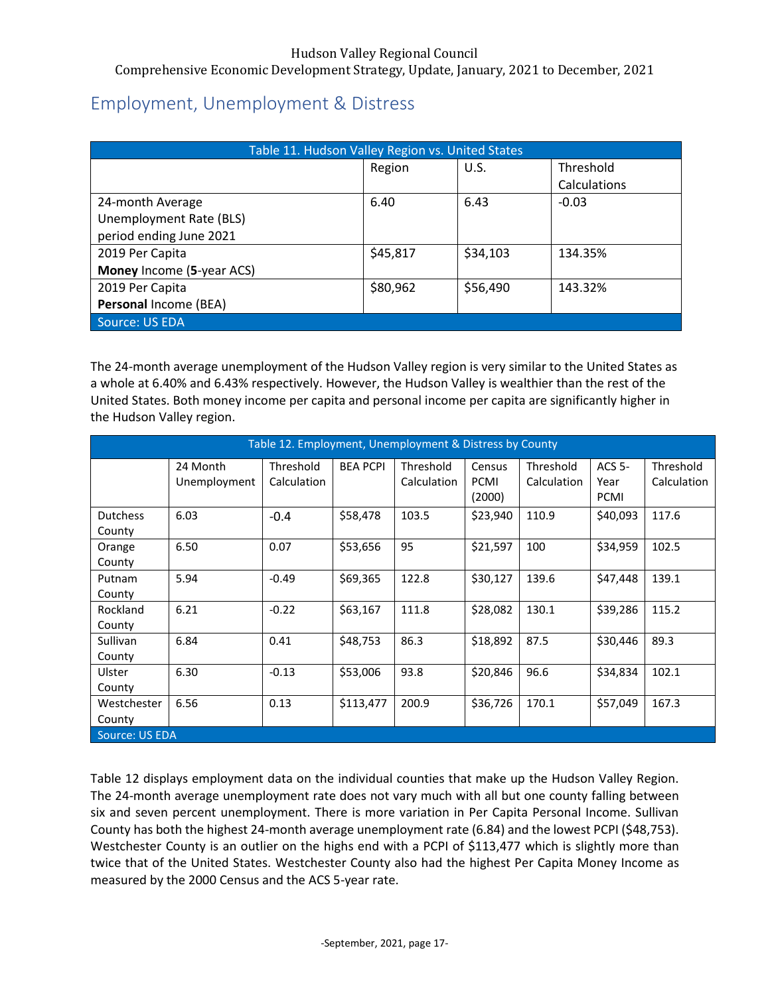# <span id="page-17-0"></span>Employment, Unemployment & Distress

| Table 11. Hudson Valley Region vs. United States |          |          |              |  |  |  |
|--------------------------------------------------|----------|----------|--------------|--|--|--|
|                                                  | Region   | U.S.     | Threshold    |  |  |  |
|                                                  |          |          | Calculations |  |  |  |
| 24-month Average                                 | 6.40     | 6.43     | $-0.03$      |  |  |  |
| Unemployment Rate (BLS)                          |          |          |              |  |  |  |
| period ending June 2021                          |          |          |              |  |  |  |
| 2019 Per Capita                                  | \$45,817 | \$34,103 | 134.35%      |  |  |  |
| Money Income (5-year ACS)                        |          |          |              |  |  |  |
| 2019 Per Capita                                  | \$80,962 | \$56,490 | 143.32%      |  |  |  |
| Personal Income (BEA)                            |          |          |              |  |  |  |
| Source: US EDA                                   |          |          |              |  |  |  |

The 24-month average unemployment of the Hudson Valley region is very similar to the United States as a whole at 6.40% and 6.43% respectively. However, the Hudson Valley is wealthier than the rest of the United States. Both money income per capita and personal income per capita are significantly higher in the Hudson Valley region.

|                           |                | Table 12. Employment, Unemployment & Distress by County |                 |             |                       |             |                     |             |
|---------------------------|----------------|---------------------------------------------------------|-----------------|-------------|-----------------------|-------------|---------------------|-------------|
|                           | 24 Month       | Threshold                                               | <b>BEA PCPI</b> | Threshold   | Census                | Threshold   | <b>ACS 5-</b>       | Threshold   |
|                           | Unemployment   | Calculation                                             |                 | Calculation | <b>PCMI</b><br>(2000) | Calculation | Year<br><b>PCMI</b> | Calculation |
| <b>Dutchess</b><br>County | 6.03           | $-0.4$                                                  | \$58,478        | 103.5       | \$23,940              | 110.9       | \$40,093            | 117.6       |
| Orange<br>County          | 6.50           | 0.07                                                    | \$53,656        | 95          | \$21,597              | 100         | \$34,959            | 102.5       |
| Putnam<br>County          | 5.94           | $-0.49$                                                 | \$69,365        | 122.8       | \$30,127              | 139.6       | \$47,448            | 139.1       |
| Rockland<br>County        | 6.21           | $-0.22$                                                 | \$63,167        | 111.8       | \$28,082              | 130.1       | \$39,286            | 115.2       |
| Sullivan<br>County        | 6.84           | 0.41                                                    | \$48,753        | 86.3        | \$18,892              | 87.5        | \$30,446            | 89.3        |
| Ulster<br>County          | 6.30           | $-0.13$                                                 | \$53,006        | 93.8        | \$20,846              | 96.6        | \$34,834            | 102.1       |
| Westchester<br>County     | 6.56           | 0.13                                                    | \$113,477       | 200.9       | \$36,726              | 170.1       | \$57,049            | 167.3       |
|                           | Source: US EDA |                                                         |                 |             |                       |             |                     |             |

Table 12 displays employment data on the individual counties that make up the Hudson Valley Region. The 24-month average unemployment rate does not vary much with all but one county falling between six and seven percent unemployment. There is more variation in Per Capita Personal Income. Sullivan County has both the highest 24-month average unemployment rate (6.84) and the lowest PCPI (\$48,753). Westchester County is an outlier on the highs end with a PCPI of \$113,477 which is slightly more than twice that of the United States. Westchester County also had the highest Per Capita Money Income as measured by the 2000 Census and the ACS 5-year rate.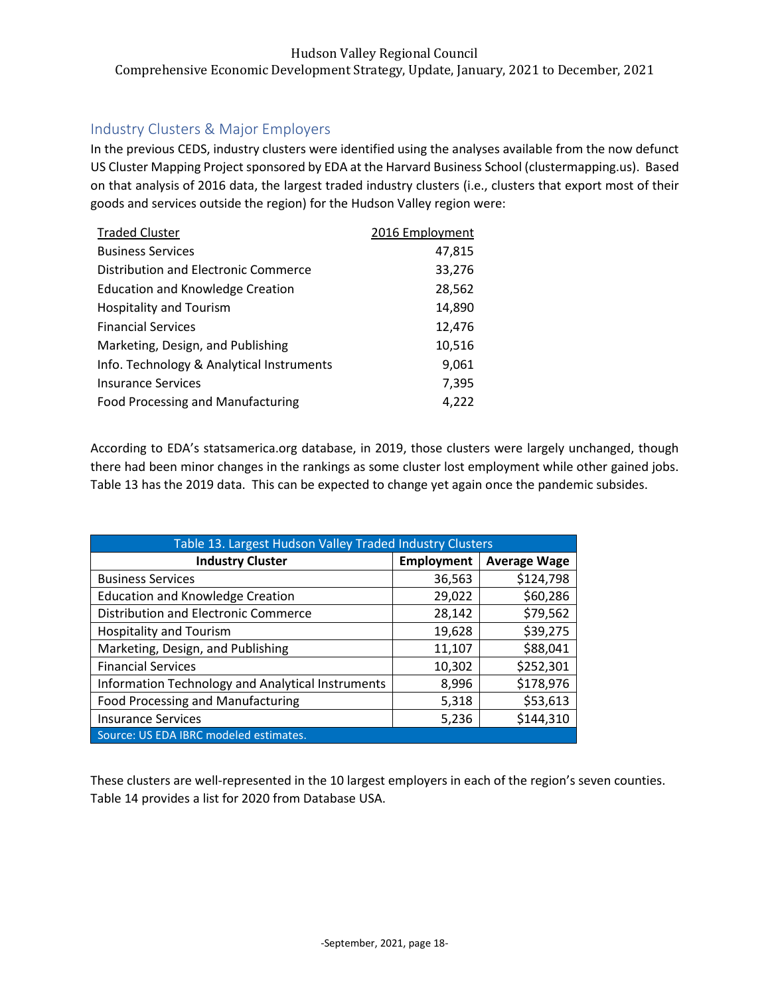# <span id="page-18-0"></span>Industry Clusters & Major Employers

In the previous CEDS, industry clusters were identified using the analyses available from the now defunct US Cluster Mapping Project sponsored by EDA at the Harvard Business School (clustermapping.us). Based on that analysis of 2016 data, the largest traded industry clusters (i.e., clusters that export most of their goods and services outside the region) for the Hudson Valley region were:

| <b>Traded Cluster</b>                     | 2016 Employment |
|-------------------------------------------|-----------------|
| <b>Business Services</b>                  | 47,815          |
| Distribution and Electronic Commerce      | 33,276          |
| <b>Education and Knowledge Creation</b>   | 28,562          |
| <b>Hospitality and Tourism</b>            | 14,890          |
| <b>Financial Services</b>                 | 12,476          |
| Marketing, Design, and Publishing         | 10,516          |
| Info. Technology & Analytical Instruments | 9,061           |
| <b>Insurance Services</b>                 | 7,395           |
| <b>Food Processing and Manufacturing</b>  | 4,222           |

According to EDA's statsamerica.org database, in 2019, those clusters were largely unchanged, though there had been minor changes in the rankings as some cluster lost employment while other gained jobs. Table 13 has the 2019 data. This can be expected to change yet again once the pandemic subsides.

| Table 13. Largest Hudson Valley Traded Industry Clusters |                   |                     |  |  |  |  |  |  |
|----------------------------------------------------------|-------------------|---------------------|--|--|--|--|--|--|
| <b>Industry Cluster</b>                                  | <b>Employment</b> | <b>Average Wage</b> |  |  |  |  |  |  |
| <b>Business Services</b>                                 | 36,563            | \$124,798           |  |  |  |  |  |  |
| <b>Education and Knowledge Creation</b>                  | 29,022            | \$60,286            |  |  |  |  |  |  |
| Distribution and Electronic Commerce                     | 28,142            | \$79,562            |  |  |  |  |  |  |
| <b>Hospitality and Tourism</b>                           | 19,628            | \$39,275            |  |  |  |  |  |  |
| Marketing, Design, and Publishing                        | 11,107            | \$88,041            |  |  |  |  |  |  |
| <b>Financial Services</b>                                | 10,302            | \$252,301           |  |  |  |  |  |  |
| Information Technology and Analytical Instruments        | 8,996             | \$178,976           |  |  |  |  |  |  |
| <b>Food Processing and Manufacturing</b>                 | 5,318             | \$53,613            |  |  |  |  |  |  |
| <b>Insurance Services</b>                                | 5,236             | \$144,310           |  |  |  |  |  |  |
| Source: US EDA IBRC modeled estimates.                   |                   |                     |  |  |  |  |  |  |

These clusters are well-represented in the 10 largest employers in each of the region's seven counties. Table 14 provides a list for 2020 from Database USA.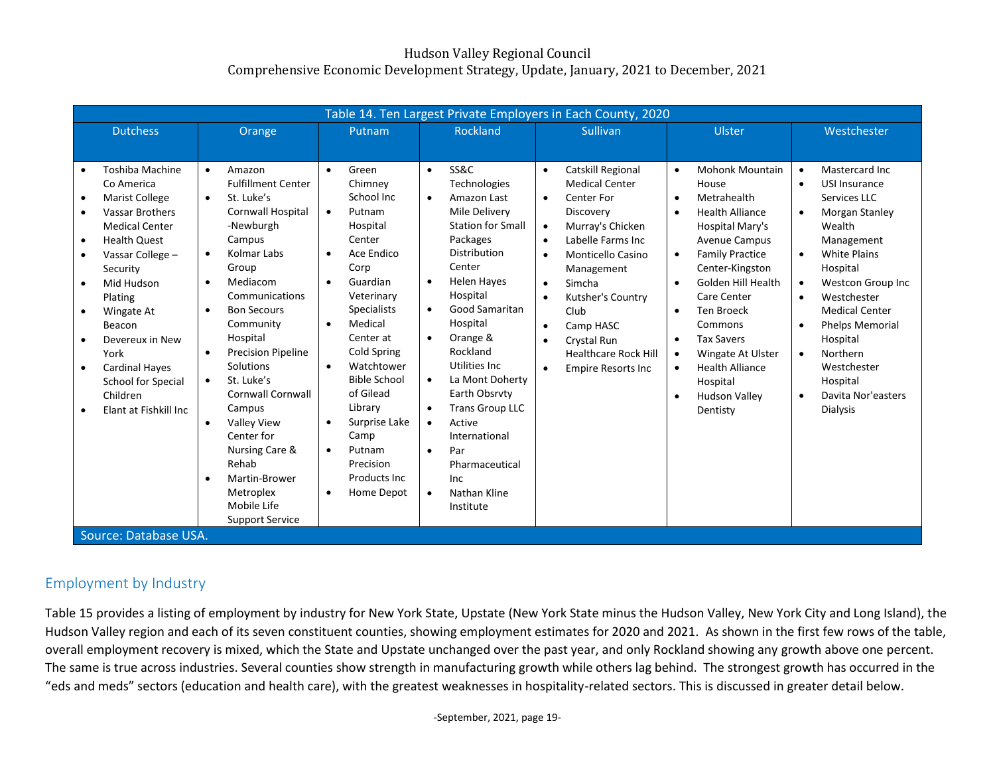| <b>Dutchess</b><br>Orange<br><b>Toshiba Machine</b><br>Amazon<br>$\bullet$                                                                                                                                                                                                                                                                                                                                                                                                                                                                                                                                                                                                                                           | Putnam<br>Green<br>$\bullet$<br><b>Fulfillment Center</b><br>Chimney                                                                                                                                                                                                                                                                                                                                                                                                                                                                                                     | <b>Rockland</b><br><b>SS&amp;C</b><br>$\bullet$                                                                                                                                                                                                                                                                                                                                                                                                                                                     | Sullivan                                                                                                                                                                                                                                                                                                                                                                                                                  | Ulster                                                                                                                                                                                                                                                                                                                                                                                                                                                                                      | Westchester                                                                                                                                                                                                                                                                                                                                                                                                                    |
|----------------------------------------------------------------------------------------------------------------------------------------------------------------------------------------------------------------------------------------------------------------------------------------------------------------------------------------------------------------------------------------------------------------------------------------------------------------------------------------------------------------------------------------------------------------------------------------------------------------------------------------------------------------------------------------------------------------------|--------------------------------------------------------------------------------------------------------------------------------------------------------------------------------------------------------------------------------------------------------------------------------------------------------------------------------------------------------------------------------------------------------------------------------------------------------------------------------------------------------------------------------------------------------------------------|-----------------------------------------------------------------------------------------------------------------------------------------------------------------------------------------------------------------------------------------------------------------------------------------------------------------------------------------------------------------------------------------------------------------------------------------------------------------------------------------------------|---------------------------------------------------------------------------------------------------------------------------------------------------------------------------------------------------------------------------------------------------------------------------------------------------------------------------------------------------------------------------------------------------------------------------|---------------------------------------------------------------------------------------------------------------------------------------------------------------------------------------------------------------------------------------------------------------------------------------------------------------------------------------------------------------------------------------------------------------------------------------------------------------------------------------------|--------------------------------------------------------------------------------------------------------------------------------------------------------------------------------------------------------------------------------------------------------------------------------------------------------------------------------------------------------------------------------------------------------------------------------|
|                                                                                                                                                                                                                                                                                                                                                                                                                                                                                                                                                                                                                                                                                                                      |                                                                                                                                                                                                                                                                                                                                                                                                                                                                                                                                                                          |                                                                                                                                                                                                                                                                                                                                                                                                                                                                                                     |                                                                                                                                                                                                                                                                                                                                                                                                                           |                                                                                                                                                                                                                                                                                                                                                                                                                                                                                             |                                                                                                                                                                                                                                                                                                                                                                                                                                |
|                                                                                                                                                                                                                                                                                                                                                                                                                                                                                                                                                                                                                                                                                                                      |                                                                                                                                                                                                                                                                                                                                                                                                                                                                                                                                                                          |                                                                                                                                                                                                                                                                                                                                                                                                                                                                                                     |                                                                                                                                                                                                                                                                                                                                                                                                                           |                                                                                                                                                                                                                                                                                                                                                                                                                                                                                             |                                                                                                                                                                                                                                                                                                                                                                                                                                |
| Co America<br>St. Luke's<br>Marist College<br>$\bullet$<br><b>Vassar Brothers</b><br>$\bullet$<br><b>Medical Center</b><br>-Newburgh<br>Campus<br><b>Health Quest</b><br>$\bullet$<br>Kolmar Labs<br>$\bullet$<br>Vassar College -<br>Group<br>Security<br>Mediacom<br>Mid Hudson<br>$\bullet$<br>Plating<br><b>Bon Secours</b><br>Wingate At<br>$\bullet$<br>$\bullet$<br>Community<br>Beacon<br>Hospital<br>Devereux in New<br>York<br>$\bullet$<br>Solutions<br><b>Cardinal Haves</b><br>St. Luke's<br>School for Special<br>$\bullet$<br>Children<br>Campus<br>Elant at Fishkill Inc<br><b>Valley View</b><br>$\bullet$<br>Center for<br>Rehab<br>$\bullet$<br>Metroplex<br>Mobile Life<br>Source: Database USA. | School Inc<br>Cornwall Hospital<br>Putnam<br>$\bullet$<br>Hospital<br>Center<br>Ace Endico<br>$\bullet$<br>Corp<br>Guardian<br>$\bullet$<br>Communications<br>Veterinary<br><b>Specialists</b><br>Medical<br>$\bullet$<br>Center at<br>Cold Spring<br><b>Precision Pipeline</b><br>Watchtower<br>$\bullet$<br><b>Bible School</b><br>of Gilead<br><b>Cornwall Cornwall</b><br>Library<br>Surprise Lake<br>$\bullet$<br>Camp<br>Nursing Care &<br>Putnam<br>$\bullet$<br>Precision<br>Products Inc.<br>Martin-Brower<br>Home Depot<br>$\bullet$<br><b>Support Service</b> | Technologies<br>Amazon Last<br>$\bullet$<br>Mile Delivery<br><b>Station for Small</b><br>Packages<br>Distribution<br>Center<br><b>Helen Hayes</b><br>$\bullet$<br>Hospital<br>Good Samaritan<br>$\bullet$<br>Hospital<br>Orange &<br>$\bullet$<br>Rockland<br>Utilities Inc.<br>La Mont Doherty<br>$\bullet$<br>Earth Obsrvty<br><b>Trans Group LLC</b><br>$\bullet$<br>Active<br>$\bullet$<br>International<br>Par<br>$\bullet$<br>Pharmaceutical<br>Inc<br>Nathan Kline<br>$\bullet$<br>Institute | Catskill Regional<br>$\bullet$<br><b>Medical Center</b><br>Center For<br>$\bullet$<br>Discovery<br>Murray's Chicken<br>$\bullet$<br>Labelle Farms Inc<br>$\bullet$<br><b>Monticello Casino</b><br>$\bullet$<br>Management<br>Simcha<br>$\bullet$<br>Kutsher's Country<br>$\bullet$<br>Club<br>Camp HASC<br>$\bullet$<br>Crystal Run<br>$\bullet$<br><b>Healthcare Rock Hill</b><br><b>Empire Resorts Inc</b><br>$\bullet$ | <b>Mohonk Mountain</b><br>$\bullet$<br>House<br>Metrahealth<br>$\bullet$<br><b>Health Alliance</b><br>$\bullet$<br>Hospital Mary's<br><b>Avenue Campus</b><br><b>Family Practice</b><br>$\bullet$<br>Center-Kingston<br>Golden Hill Health<br>$\bullet$<br>Care Center<br><b>Ten Broeck</b><br>$\bullet$<br>Commons<br><b>Tax Savers</b><br>$\bullet$<br>Wingate At Ulster<br>$\bullet$<br><b>Health Alliance</b><br>$\bullet$<br>Hospital<br><b>Hudson Valley</b><br>$\bullet$<br>Dentisty | Mastercard Inc.<br>$\bullet$<br>USI Insurance<br>$\bullet$<br>Services LLC<br>Morgan Stanley<br>$\bullet$<br>Wealth<br>Management<br><b>White Plains</b><br>$\bullet$<br>Hospital<br><b>Westcon Group Inc</b><br>$\bullet$<br>Westchester<br>$\bullet$<br><b>Medical Center</b><br>Phelps Memorial<br>$\bullet$<br>Hospital<br>Northern<br>$\bullet$<br>Westchester<br>Hospital<br>Davita Nor'easters<br>$\bullet$<br>Dialysis |

# Employment by Industry

Table 15 provides a listing of employment by industry for New York State, Upstate (New York State minus the Hudson Valley, New York City and Long Island), the Hudson Valley region and each of its seven constituent counties, showing employment estimates for 2020 and 2021. As shown in the first few rows of the table, overall employment recovery is mixed, which the State and Upstate unchanged over the past year, and only Rockland showing any growth above one percent. The same is true across industries. Several counties show strength in manufacturing growth while others lag behind. The strongest growth has occurred in the "eds and meds" sectors (education and health care), with the greatest weaknesses in hospitality-related sectors. This is discussed in greater detail below.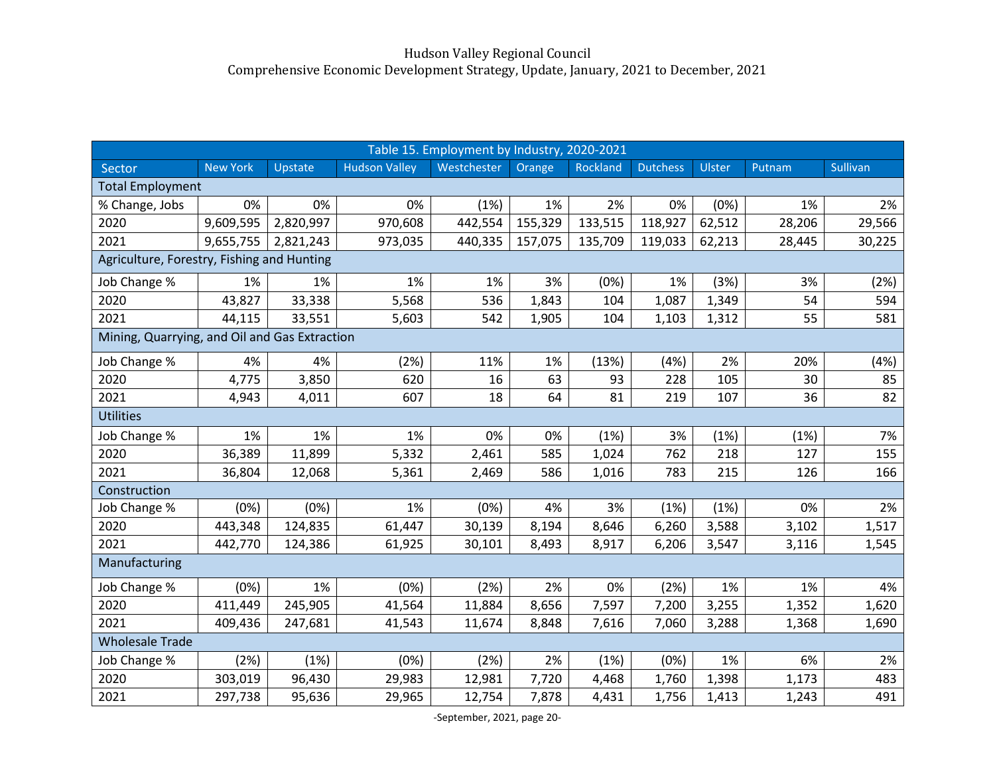|                                               |                 |           |                      | Table 15. Employment by Industry, 2020-2021 |         |          |                 |        |        |          |
|-----------------------------------------------|-----------------|-----------|----------------------|---------------------------------------------|---------|----------|-----------------|--------|--------|----------|
| Sector                                        | <b>New York</b> | Upstate   | <b>Hudson Valley</b> | Westchester                                 | Orange  | Rockland | <b>Dutchess</b> | Ulster | Putnam | Sullivan |
| <b>Total Employment</b>                       |                 |           |                      |                                             |         |          |                 |        |        |          |
| % Change, Jobs                                | 0%              | 0%        | 0%                   | (1%)                                        | 1%      | 2%       | 0%              | (0%)   | 1%     | 2%       |
| 2020                                          | 9,609,595       | 2,820,997 | 970,608              | 442,554                                     | 155,329 | 133,515  | 118,927         | 62,512 | 28,206 | 29,566   |
| 2021                                          | 9,655,755       | 2,821,243 | 973,035              | 440,335                                     | 157,075 | 135,709  | 119,033         | 62,213 | 28,445 | 30,225   |
| Agriculture, Forestry, Fishing and Hunting    |                 |           |                      |                                             |         |          |                 |        |        |          |
| Job Change %                                  | 1%              | 1%        | 1%                   | 1%                                          | 3%      | (0%)     | 1%              | (3%)   | 3%     | (2%)     |
| 2020                                          | 43,827          | 33,338    | 5,568                | 536                                         | 1,843   | 104      | 1,087           | 1,349  | 54     | 594      |
| 2021                                          | 44,115          | 33,551    | 5,603                | 542                                         | 1,905   | 104      | 1,103           | 1,312  | 55     | 581      |
| Mining, Quarrying, and Oil and Gas Extraction |                 |           |                      |                                             |         |          |                 |        |        |          |
| Job Change %                                  | 4%              | 4%        | (2%)                 | 11%                                         | 1%      | (13%)    | (4%)            | 2%     | 20%    | (4%)     |
| 2020                                          | 4,775           | 3,850     | 620                  | 16                                          | 63      | 93       | 228             | 105    | 30     | 85       |
| 2021                                          | 4,943           | 4,011     | 607                  | 18                                          | 64      | 81       | 219             | 107    | 36     | 82       |
| <b>Utilities</b>                              |                 |           |                      |                                             |         |          |                 |        |        |          |
| Job Change %                                  | 1%              | 1%        | 1%                   | 0%                                          | 0%      | (1%)     | 3%              | (1%)   | (1%)   | 7%       |
| 2020                                          | 36,389          | 11,899    | 5,332                | 2,461                                       | 585     | 1,024    | 762             | 218    | 127    | 155      |
| 2021                                          | 36,804          | 12,068    | 5,361                | 2,469                                       | 586     | 1,016    | 783             | 215    | 126    | 166      |
| Construction                                  |                 |           |                      |                                             |         |          |                 |        |        |          |
| Job Change %                                  | (0%)            | (0%)      | 1%                   | (0%)                                        | 4%      | 3%       | (1%)            | (1%)   | 0%     | 2%       |
| 2020                                          | 443,348         | 124,835   | 61,447               | 30,139                                      | 8,194   | 8,646    | 6,260           | 3,588  | 3,102  | 1,517    |
| 2021                                          | 442,770         | 124,386   | 61,925               | 30,101                                      | 8,493   | 8,917    | 6,206           | 3,547  | 3,116  | 1,545    |
| Manufacturing                                 |                 |           |                      |                                             |         |          |                 |        |        |          |
| Job Change %                                  | (0%)            | 1%        | (0%)                 | (2%)                                        | 2%      | 0%       | (2%)            | 1%     | 1%     | 4%       |
| 2020                                          | 411,449         | 245,905   | 41,564               | 11,884                                      | 8,656   | 7,597    | 7,200           | 3,255  | 1,352  | 1,620    |
| 2021                                          | 409,436         | 247,681   | 41,543               | 11,674                                      | 8,848   | 7,616    | 7,060           | 3,288  | 1,368  | 1,690    |
| <b>Wholesale Trade</b>                        |                 |           |                      |                                             |         |          |                 |        |        |          |
| Job Change %                                  | (2%)            | (1%)      | (0%)                 | (2%)                                        | 2%      | (1%)     | (0%)            | 1%     | 6%     | 2%       |
| 2020                                          | 303,019         | 96,430    | 29,983               | 12,981                                      | 7,720   | 4,468    | 1,760           | 1,398  | 1,173  | 483      |
| 2021                                          | 297,738         | 95,636    | 29,965               | 12,754                                      | 7,878   | 4,431    | 1,756           | 1,413  | 1,243  | 491      |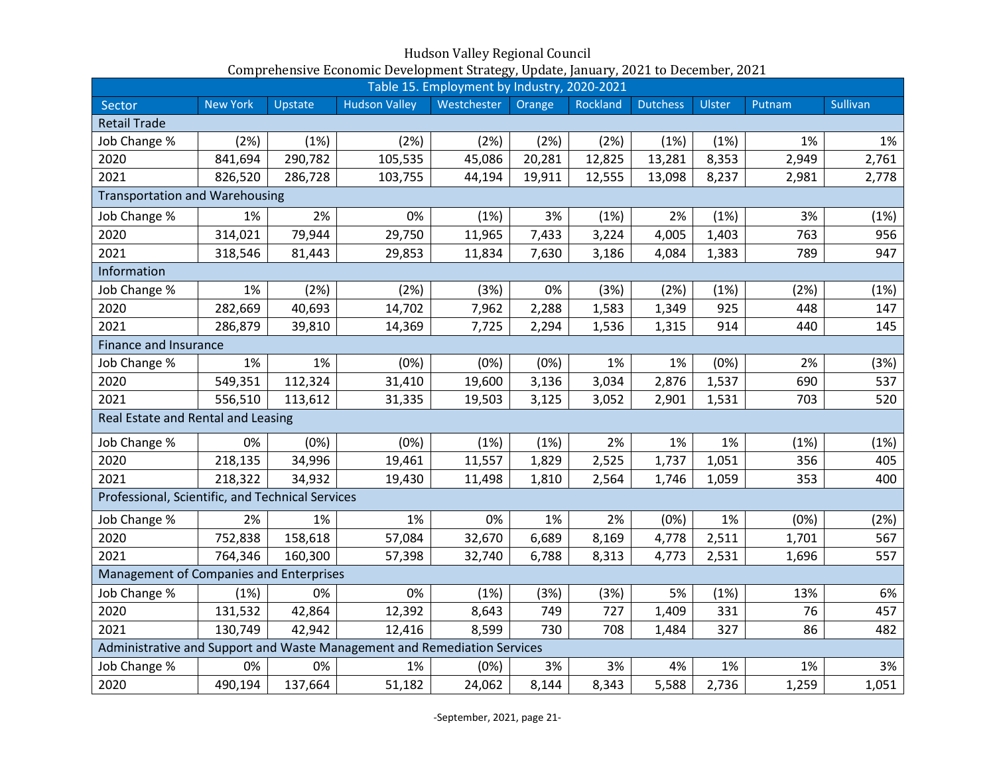|                                                                          |                 |         |                      | Table 15. Employment by Industry, 2020-2021 |        |          |                 |        |        |                 |
|--------------------------------------------------------------------------|-----------------|---------|----------------------|---------------------------------------------|--------|----------|-----------------|--------|--------|-----------------|
| Sector                                                                   | <b>New York</b> | Upstate | <b>Hudson Valley</b> | Westchester                                 | Orange | Rockland | <b>Dutchess</b> | Ulster | Putnam | <b>Sullivan</b> |
| <b>Retail Trade</b>                                                      |                 |         |                      |                                             |        |          |                 |        |        |                 |
| Job Change %                                                             | (2%)            | (1%)    | (2%)                 | (2%)                                        | (2%)   | (2%)     | (1%)            | (1%)   | 1%     | 1%              |
| 2020                                                                     | 841,694         | 290,782 | 105,535              | 45,086                                      | 20,281 | 12,825   | 13,281          | 8,353  | 2,949  | 2,761           |
| 2021                                                                     | 826,520         | 286,728 | 103,755              | 44,194                                      | 19,911 | 12,555   | 13,098          | 8,237  | 2,981  | 2,778           |
| <b>Transportation and Warehousing</b>                                    |                 |         |                      |                                             |        |          |                 |        |        |                 |
| Job Change %                                                             | 1%              | 2%      | 0%                   | (1%)                                        | 3%     | (1%)     | 2%              | (1%)   | 3%     | (1%)            |
| 2020                                                                     | 314,021         | 79,944  | 29,750               | 11,965                                      | 7,433  | 3,224    | 4,005           | 1,403  | 763    | 956             |
| 2021                                                                     | 318,546         | 81,443  | 29,853               | 11,834                                      | 7,630  | 3,186    | 4,084           | 1,383  | 789    | 947             |
| Information                                                              |                 |         |                      |                                             |        |          |                 |        |        |                 |
| Job Change %                                                             | 1%              | (2%)    | (2%)                 | (3%)                                        | 0%     | (3%)     | (2%)            | (1%)   | (2%)   | (1%)            |
| 2020                                                                     | 282,669         | 40,693  | 14,702               | 7,962                                       | 2,288  | 1,583    | 1,349           | 925    | 448    | 147             |
| 2021                                                                     | 286,879         | 39,810  | 14,369               | 7,725                                       | 2,294  | 1,536    | 1,315           | 914    | 440    | 145             |
| <b>Finance and Insurance</b>                                             |                 |         |                      |                                             |        |          |                 |        |        |                 |
| Job Change %                                                             | 1%              | 1%      | (0%)                 | (0%)                                        | (0%)   | 1%       | 1%              | (0%)   | 2%     | (3%)            |
| 2020                                                                     | 549,351         | 112,324 | 31,410               | 19,600                                      | 3,136  | 3,034    | 2,876           | 1,537  | 690    | 537             |
| 2021                                                                     | 556,510         | 113,612 | 31,335               | 19,503                                      | 3,125  | 3,052    | 2,901           | 1,531  | 703    | 520             |
| Real Estate and Rental and Leasing                                       |                 |         |                      |                                             |        |          |                 |        |        |                 |
| Job Change %                                                             | 0%              | (0%)    | (0%)                 | (1%)                                        | (1%)   | 2%       | 1%              | 1%     | (1%)   | (1%)            |
| 2020                                                                     | 218,135         | 34,996  | 19,461               | 11,557                                      | 1,829  | 2,525    | 1,737           | 1,051  | 356    | 405             |
| 2021                                                                     | 218,322         | 34,932  | 19,430               | 11,498                                      | 1,810  | 2,564    | 1,746           | 1,059  | 353    | 400             |
| Professional, Scientific, and Technical Services                         |                 |         |                      |                                             |        |          |                 |        |        |                 |
| Job Change %                                                             | 2%              | 1%      | 1%                   | 0%                                          | 1%     | 2%       | (0%)            | 1%     | (0%)   | (2%)            |
| 2020                                                                     | 752,838         | 158,618 | 57,084               | 32,670                                      | 6,689  | 8,169    | 4,778           | 2,511  | 1,701  | 567             |
| 2021                                                                     | 764,346         | 160,300 | 57,398               | 32,740                                      | 6,788  | 8,313    | 4,773           | 2,531  | 1,696  | 557             |
| Management of Companies and Enterprises                                  |                 |         |                      |                                             |        |          |                 |        |        |                 |
| Job Change %                                                             | (1%)            | 0%      | 0%                   | (1%)                                        | (3%)   | (3%)     | 5%              | (1%)   | 13%    | 6%              |
| 2020                                                                     | 131,532         | 42,864  | 12,392               | 8,643                                       | 749    | 727      | 1,409           | 331    | 76     | 457             |
| 2021                                                                     | 130,749         | 42,942  | 12,416               | 8,599                                       | 730    | 708      | 1,484           | 327    | 86     | 482             |
| Administrative and Support and Waste Management and Remediation Services |                 |         |                      |                                             |        |          |                 |        |        |                 |
| Job Change %                                                             | 0%              | 0%      | 1%                   | (0%)                                        | 3%     | 3%       | 4%              | 1%     | 1%     | 3%              |
| 2020                                                                     | 490,194         | 137,664 | 51,182               | 24,062                                      | 8,144  | 8,343    | 5,588           | 2,736  | 1,259  | 1,051           |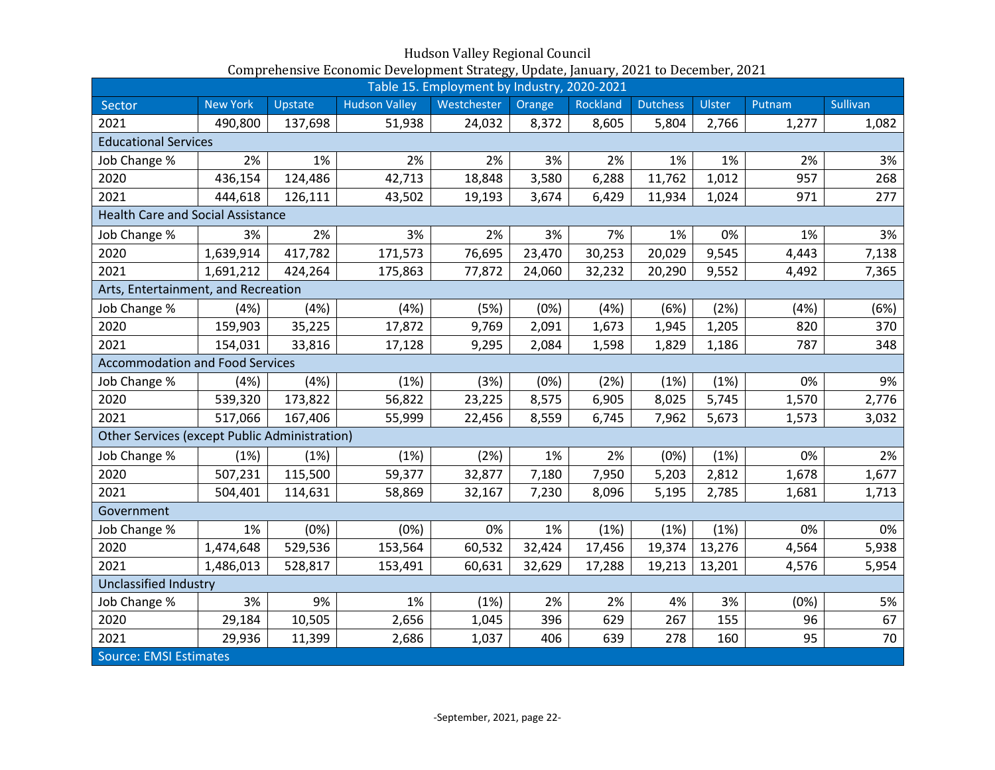|                                                      | Table 15. Employment by Industry, 2020-2021 |         |                      |             |        |          |                 |               |        |          |
|------------------------------------------------------|---------------------------------------------|---------|----------------------|-------------|--------|----------|-----------------|---------------|--------|----------|
| Sector                                               | <b>New York</b>                             | Upstate | <b>Hudson Valley</b> | Westchester | Orange | Rockland | <b>Dutchess</b> | <b>Ulster</b> | Putnam | Sullivan |
| 2021                                                 | 490,800                                     | 137,698 | 51,938               | 24,032      | 8,372  | 8,605    | 5,804           | 2,766         | 1,277  | 1,082    |
| <b>Educational Services</b>                          |                                             |         |                      |             |        |          |                 |               |        |          |
| Job Change %                                         | 2%                                          | 1%      | 2%                   | 2%          | 3%     | 2%       | 1%              | 1%            | 2%     | 3%       |
| 2020                                                 | 436,154                                     | 124,486 | 42,713               | 18,848      | 3,580  | 6,288    | 11,762          | 1,012         | 957    | 268      |
| 2021                                                 | 444,618                                     | 126,111 | 43,502               | 19,193      | 3,674  | 6,429    | 11,934          | 1,024         | 971    | 277      |
| <b>Health Care and Social Assistance</b>             |                                             |         |                      |             |        |          |                 |               |        |          |
| Job Change %                                         | 3%                                          | 2%      | 3%                   | 2%          | 3%     | 7%       | 1%              | 0%            | 1%     | 3%       |
| 2020                                                 | 1,639,914                                   | 417,782 | 171,573              | 76,695      | 23,470 | 30,253   | 20,029          | 9,545         | 4,443  | 7,138    |
| 2021                                                 | 1,691,212                                   | 424,264 | 175,863              | 77,872      | 24,060 | 32,232   | 20,290          | 9,552         | 4,492  | 7,365    |
| Arts, Entertainment, and Recreation                  |                                             |         |                      |             |        |          |                 |               |        |          |
| Job Change %                                         | (4%)                                        | (4% )   | (4%)                 | (5%)        | (0%)   | (4%)     | (6%)            | (2%)          | (4%)   | (6%)     |
| 2020                                                 | 159,903                                     | 35,225  | 17,872               | 9,769       | 2,091  | 1,673    | 1,945           | 1,205         | 820    | 370      |
| 2021                                                 | 154,031                                     | 33,816  | 17,128               | 9,295       | 2,084  | 1,598    | 1,829           | 1,186         | 787    | 348      |
| <b>Accommodation and Food Services</b>               |                                             |         |                      |             |        |          |                 |               |        |          |
| Job Change %                                         | (4%)                                        | (4%)    | (1%)                 | (3%)        | (0%)   | (2%)     | (1%)            | (1%)          | 0%     | 9%       |
| 2020                                                 | 539,320                                     | 173,822 | 56,822               | 23,225      | 8,575  | 6,905    | 8,025           | 5,745         | 1,570  | 2,776    |
| 2021                                                 | 517,066                                     | 167,406 | 55,999               | 22,456      | 8,559  | 6,745    | 7,962           | 5,673         | 1,573  | 3,032    |
| <b>Other Services (except Public Administration)</b> |                                             |         |                      |             |        |          |                 |               |        |          |
| Job Change %                                         | (1%)                                        | (1%)    | (1%)                 | (2%)        | 1%     | 2%       | (0%)            | (1%)          | 0%     | 2%       |
| 2020                                                 | 507,231                                     | 115,500 | 59,377               | 32,877      | 7,180  | 7,950    | 5,203           | 2,812         | 1,678  | 1,677    |
| 2021                                                 | 504,401                                     | 114,631 | 58,869               | 32,167      | 7,230  | 8,096    | 5,195           | 2,785         | 1,681  | 1,713    |
| Government                                           |                                             |         |                      |             |        |          |                 |               |        |          |
| Job Change %                                         | 1%                                          | (0%)    | (0%)                 | 0%          | 1%     | (1%)     | (1%)            | (1%)          | 0%     | 0%       |
| 2020                                                 | 1,474,648                                   | 529,536 | 153,564              | 60,532      | 32,424 | 17,456   | 19,374          | 13,276        | 4,564  | 5,938    |
| 2021                                                 | 1,486,013                                   | 528,817 | 153,491              | 60,631      | 32,629 | 17,288   | 19,213          | 13,201        | 4,576  | 5,954    |
| <b>Unclassified Industry</b>                         |                                             |         |                      |             |        |          |                 |               |        |          |
| Job Change %                                         | 3%                                          | 9%      | 1%                   | (1%)        | 2%     | 2%       | 4%              | 3%            | (0%)   | 5%       |
| 2020                                                 | 29,184                                      | 10,505  | 2,656                | 1,045       | 396    | 629      | 267             | 155           | 96     | 67       |
| 2021                                                 | 29,936                                      | 11,399  | 2,686                | 1,037       | 406    | 639      | 278             | 160           | 95     | 70       |
| <b>Source: EMSI Estimates</b>                        |                                             |         |                      |             |        |          |                 |               |        |          |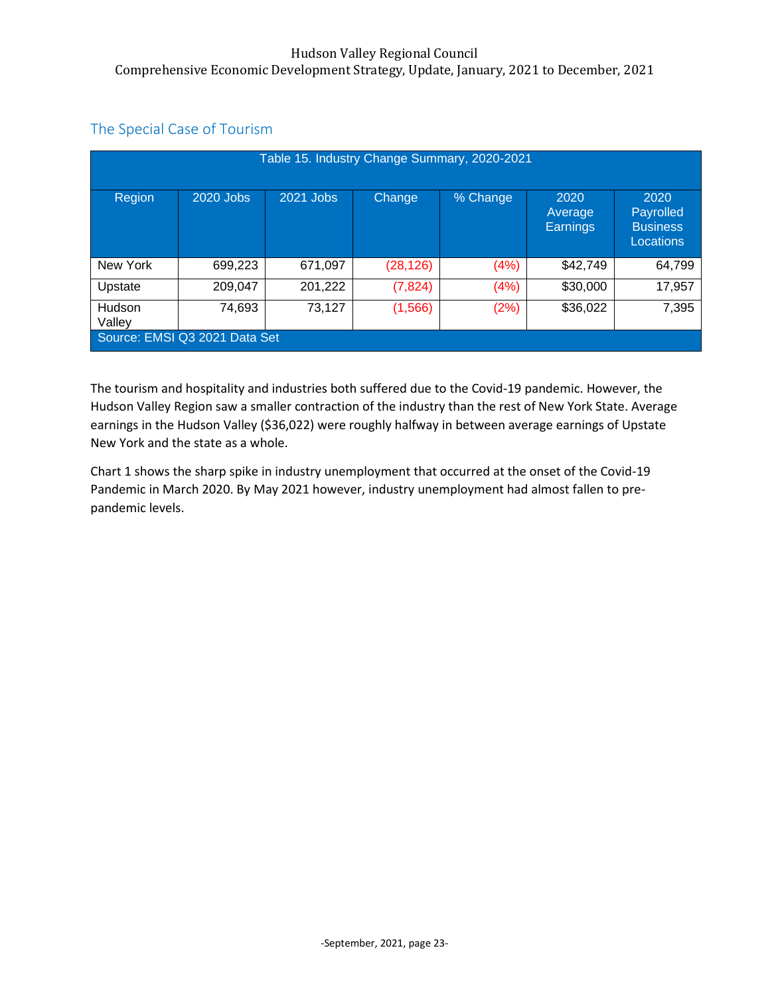|                                                                               |                               |           |           | Table 15. Industry Change Summary, 2020-2021 |                                    |                                                   |  |  |
|-------------------------------------------------------------------------------|-------------------------------|-----------|-----------|----------------------------------------------|------------------------------------|---------------------------------------------------|--|--|
| Region                                                                        | 2020 Jobs                     | 2021 Jobs | Change    | % Change                                     | 2020<br>Average<br><b>Earnings</b> | 2020<br>Payrolled<br><b>Business</b><br>Locations |  |  |
| New York                                                                      | 699,223                       | 671,097   | (28, 126) | (4%)                                         | \$42,749                           | 64,799                                            |  |  |
| Upstate                                                                       | 209,047                       | 201,222   | (7, 824)  | (4%)                                         | \$30,000                           | 17,957                                            |  |  |
| 73,127<br>\$36,022<br>7,395<br>74,693<br>(2%)<br>(1, 566)<br>Hudson<br>Valley |                               |           |           |                                              |                                    |                                                   |  |  |
|                                                                               | Source: EMSI Q3 2021 Data Set |           |           |                                              |                                    |                                                   |  |  |

# The Special Case of Tourism

The tourism and hospitality and industries both suffered due to the Covid-19 pandemic. However, the Hudson Valley Region saw a smaller contraction of the industry than the rest of New York State. Average earnings in the Hudson Valley (\$36,022) were roughly halfway in between average earnings of Upstate New York and the state as a whole.

Chart 1 shows the sharp spike in industry unemployment that occurred at the onset of the Covid-19 Pandemic in March 2020. By May 2021 however, industry unemployment had almost fallen to prepandemic levels.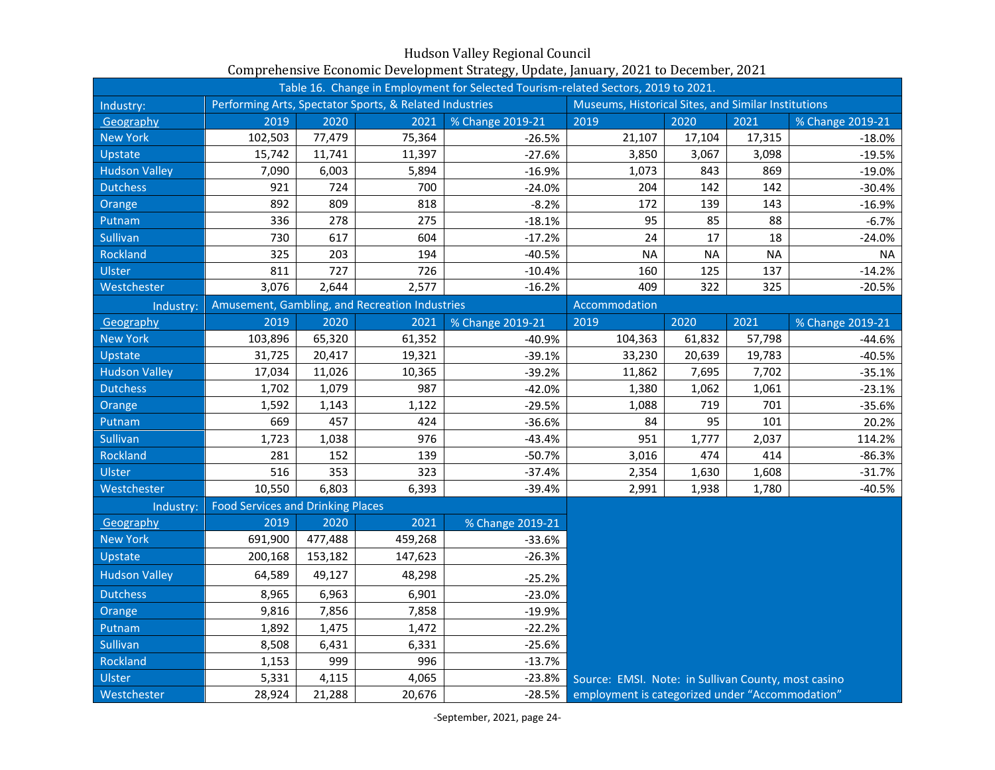| Table 16. Change in Employment for Selected Tourism-related Sectors, 2019 to 2021. |                                          |         |                                                         |                  |                                                     |           |           |                  |
|------------------------------------------------------------------------------------|------------------------------------------|---------|---------------------------------------------------------|------------------|-----------------------------------------------------|-----------|-----------|------------------|
| Industry:                                                                          |                                          |         | Performing Arts, Spectator Sports, & Related Industries |                  | Museums, Historical Sites, and Similar Institutions |           |           |                  |
| Geography                                                                          | 2019                                     | 2020    | 2021                                                    | % Change 2019-21 | 2019                                                | 2020      | 2021      | % Change 2019-21 |
| <b>New York</b>                                                                    | 102,503                                  | 77,479  | 75,364                                                  | $-26.5%$         | 21,107                                              | 17,104    | 17,315    | $-18.0%$         |
| Upstate                                                                            | 15,742                                   | 11,741  | 11,397                                                  | $-27.6%$         | 3,850                                               | 3,067     | 3,098     | $-19.5%$         |
| <b>Hudson Valley</b>                                                               | 7,090                                    | 6,003   | 5,894                                                   | $-16.9%$         | 1,073                                               | 843       | 869       | $-19.0%$         |
| <b>Dutchess</b>                                                                    | 921                                      | 724     | 700                                                     | $-24.0%$         | 204                                                 | 142       | 142       | $-30.4%$         |
| Orange                                                                             | 892                                      | 809     | 818                                                     | $-8.2%$          | 172                                                 | 139       | 143       | $-16.9%$         |
| Putnam                                                                             | 336                                      | 278     | 275                                                     | $-18.1%$         | 95                                                  | 85        | 88        | $-6.7%$          |
| Sullivan                                                                           | 730                                      | 617     | 604                                                     | $-17.2%$         | 24                                                  | 17        | 18        | $-24.0%$         |
| Rockland                                                                           | 325                                      | 203     | 194                                                     | $-40.5%$         | <b>NA</b>                                           | <b>NA</b> | <b>NA</b> | <b>NA</b>        |
| Ulster                                                                             | 811                                      | 727     | 726                                                     | $-10.4%$         | 160                                                 | 125       | 137       | $-14.2%$         |
| Westchester                                                                        | 3,076                                    | 2,644   | 2,577                                                   | $-16.2%$         | 409                                                 | 322       | 325       | $-20.5%$         |
| Industry:                                                                          |                                          |         | Amusement, Gambling, and Recreation Industries          |                  | Accommodation                                       |           |           |                  |
| Geography                                                                          | 2019                                     | 2020    | 2021                                                    | % Change 2019-21 | 2019                                                | 2020      | 2021      | % Change 2019-21 |
| <b>New York</b>                                                                    | 103,896                                  | 65,320  | 61,352                                                  | $-40.9%$         | 104,363                                             | 61,832    | 57,798    | $-44.6%$         |
| Upstate                                                                            | 31,725                                   | 20,417  | 19,321                                                  | $-39.1%$         | 33,230                                              | 20,639    | 19,783    | $-40.5%$         |
| <b>Hudson Valley</b>                                                               | 17,034                                   | 11,026  | 10,365                                                  | $-39.2%$         | 11,862                                              | 7,695     | 7,702     | $-35.1%$         |
| <b>Dutchess</b>                                                                    | 1,702                                    | 1,079   | 987                                                     | $-42.0%$         | 1,380                                               | 1,062     | 1,061     | $-23.1%$         |
| Orange                                                                             | 1,592                                    | 1,143   | 1,122                                                   | $-29.5%$         | 1,088                                               | 719       | 701       | $-35.6%$         |
| Putnam                                                                             | 669                                      | 457     | 424                                                     | $-36.6%$         | 84                                                  | 95        | 101       | 20.2%            |
| Sullivan                                                                           | 1,723                                    | 1,038   | 976                                                     | $-43.4%$         | 951                                                 | 1,777     | 2,037     | 114.2%           |
| Rockland                                                                           | 281                                      | 152     | 139                                                     | $-50.7%$         | 3,016                                               | 474       | 414       | $-86.3%$         |
| Ulster                                                                             | 516                                      | 353     | 323                                                     | $-37.4%$         | 2,354                                               | 1,630     | 1,608     | $-31.7%$         |
| Westchester                                                                        | 10,550                                   | 6,803   | 6,393                                                   | $-39.4%$         | 2,991                                               | 1,938     | 1,780     | $-40.5%$         |
| Industry:                                                                          | <b>Food Services and Drinking Places</b> |         |                                                         |                  |                                                     |           |           |                  |
| Geography                                                                          | 2019                                     | 2020    | 2021                                                    | % Change 2019-21 |                                                     |           |           |                  |
| <b>New York</b>                                                                    | 691,900                                  | 477,488 | 459,268                                                 | $-33.6%$         |                                                     |           |           |                  |
| Upstate                                                                            | 200,168                                  | 153,182 | 147,623                                                 | $-26.3%$         |                                                     |           |           |                  |
| <b>Hudson Valley</b>                                                               | 64,589                                   | 49,127  | 48,298                                                  | $-25.2%$         |                                                     |           |           |                  |
| <b>Dutchess</b>                                                                    | 8,965                                    | 6,963   | 6,901                                                   | $-23.0%$         |                                                     |           |           |                  |
| Orange                                                                             | 9,816                                    | 7,856   | 7,858                                                   | $-19.9%$         |                                                     |           |           |                  |
| Putnam                                                                             | 1,892                                    | 1,475   | 1,472                                                   | $-22.2%$         |                                                     |           |           |                  |
| Sullivan                                                                           | 8,508                                    | 6,431   | 6,331                                                   | $-25.6%$         |                                                     |           |           |                  |
| Rockland                                                                           | 1,153                                    | 999     | 996                                                     | $-13.7%$         |                                                     |           |           |                  |
| Ulster                                                                             | 5,331                                    | 4,115   | 4,065                                                   | $-23.8%$         | Source: EMSI. Note: in Sullivan County, most casino |           |           |                  |
| Westchester                                                                        | 28,924                                   | 21,288  | 20,676                                                  | $-28.5%$         | employment is categorized under "Accommodation"     |           |           |                  |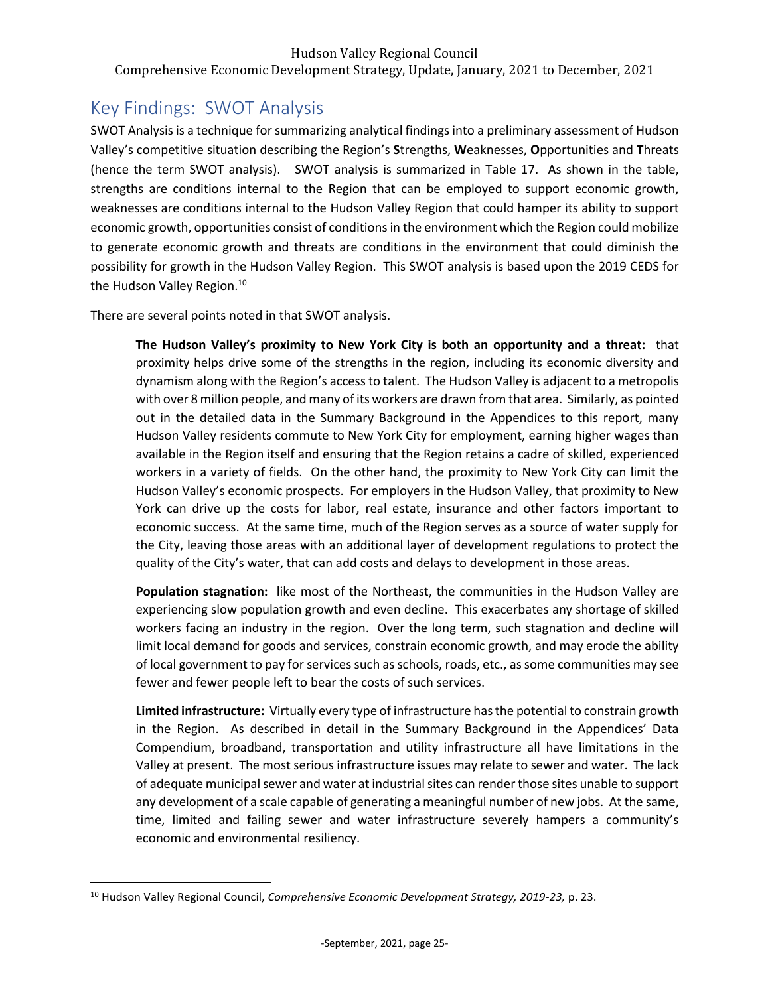# <span id="page-25-0"></span>Key Findings: SWOT Analysis

SWOT Analysis is a technique for summarizing analytical findings into a preliminary assessment of Hudson Valley's competitive situation describing the Region's **S**trengths, **W**eaknesses, **O**pportunities and **T**hreats (hence the term SWOT analysis). SWOT analysis is summarized in Table 17. As shown in the table, strengths are conditions internal to the Region that can be employed to support economic growth, weaknesses are conditions internal to the Hudson Valley Region that could hamper its ability to support economic growth, opportunities consist of conditions in the environment which the Region could mobilize to generate economic growth and threats are conditions in the environment that could diminish the possibility for growth in the Hudson Valley Region. This SWOT analysis is based upon the 2019 CEDS for the Hudson Valley Region.<sup>10</sup>

There are several points noted in that SWOT analysis.

**The Hudson Valley's proximity to New York City is both an opportunity and a threat:** that proximity helps drive some of the strengths in the region, including its economic diversity and dynamism along with the Region's access to talent. The Hudson Valley is adjacent to a metropolis with over 8 million people, and many of its workers are drawn from that area. Similarly, as pointed out in the detailed data in the Summary Background in the Appendices to this report, many Hudson Valley residents commute to New York City for employment, earning higher wages than available in the Region itself and ensuring that the Region retains a cadre of skilled, experienced workers in a variety of fields. On the other hand, the proximity to New York City can limit the Hudson Valley's economic prospects. For employers in the Hudson Valley, that proximity to New York can drive up the costs for labor, real estate, insurance and other factors important to economic success. At the same time, much of the Region serves as a source of water supply for the City, leaving those areas with an additional layer of development regulations to protect the quality of the City's water, that can add costs and delays to development in those areas.

**Population stagnation:** like most of the Northeast, the communities in the Hudson Valley are experiencing slow population growth and even decline. This exacerbates any shortage of skilled workers facing an industry in the region. Over the long term, such stagnation and decline will limit local demand for goods and services, constrain economic growth, and may erode the ability of local government to pay for services such as schools, roads, etc., as some communities may see fewer and fewer people left to bear the costs of such services.

**Limited infrastructure:** Virtually every type of infrastructure has the potential to constrain growth in the Region. As described in detail in the Summary Background in the Appendices' Data Compendium, broadband, transportation and utility infrastructure all have limitations in the Valley at present. The most serious infrastructure issues may relate to sewer and water. The lack of adequate municipal sewer and water at industrial sites can render those sites unable to support any development of a scale capable of generating a meaningful number of new jobs. At the same, time, limited and failing sewer and water infrastructure severely hampers a community's economic and environmental resiliency.

<sup>10</sup> Hudson Valley Regional Council, *Comprehensive Economic Development Strategy, 2019-23,* p. 23.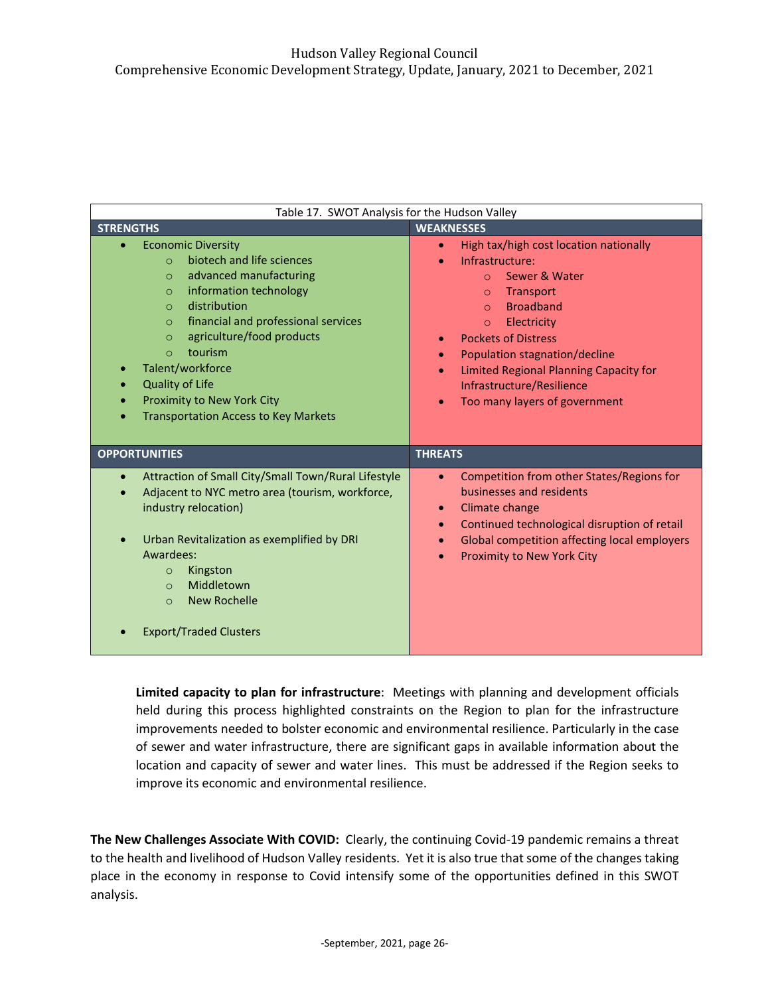| Table 17. SWOT Analysis for the Hudson Valley                                                                                                                                                                                                                                                                                                                                                                |                                                                                                                                                                                                                                                                                                                                                 |
|--------------------------------------------------------------------------------------------------------------------------------------------------------------------------------------------------------------------------------------------------------------------------------------------------------------------------------------------------------------------------------------------------------------|-------------------------------------------------------------------------------------------------------------------------------------------------------------------------------------------------------------------------------------------------------------------------------------------------------------------------------------------------|
| <b>STRENGTHS</b>                                                                                                                                                                                                                                                                                                                                                                                             | <b>WEAKNESSES</b>                                                                                                                                                                                                                                                                                                                               |
| <b>Economic Diversity</b><br>biotech and life sciences<br>$\Omega$<br>advanced manufacturing<br>$\circ$<br>information technology<br>$\circ$<br>distribution<br>$\circ$<br>financial and professional services<br>$\circ$<br>agriculture/food products<br>$\circ$<br>tourism<br>$\Omega$<br>Talent/workforce<br>Quality of Life<br>Proximity to New York City<br><b>Transportation Access to Key Markets</b> | High tax/high cost location nationally<br>Infrastructure:<br>Sewer & Water<br>$\Omega$<br>Transport<br>$\circ$<br><b>Broadband</b><br>$\Omega$<br>Electricity<br>$\circ$<br><b>Pockets of Distress</b><br>Population stagnation/decline<br>Limited Regional Planning Capacity for<br>Infrastructure/Resilience<br>Too many layers of government |
| <b>OPPORTUNITIES</b>                                                                                                                                                                                                                                                                                                                                                                                         | <b>THREATS</b>                                                                                                                                                                                                                                                                                                                                  |
| Attraction of Small City/Small Town/Rural Lifestyle<br>Adjacent to NYC metro area (tourism, workforce,<br>industry relocation)<br>Urban Revitalization as exemplified by DRI<br>Awardees:<br>Kingston<br>$\circ$<br>Middletown<br>$\Omega$<br>New Rochelle<br>$\circ$                                                                                                                                        | Competition from other States/Regions for<br>$\bullet$<br>businesses and residents<br>Climate change<br>$\bullet$<br>Continued technological disruption of retail<br>$\bullet$<br>Global competition affecting local employers<br>Proximity to New York City                                                                                    |
| <b>Export/Traded Clusters</b>                                                                                                                                                                                                                                                                                                                                                                                |                                                                                                                                                                                                                                                                                                                                                 |

**Limited capacity to plan for infrastructure**: Meetings with planning and development officials held during this process highlighted constraints on the Region to plan for the infrastructure improvements needed to bolster economic and environmental resilience. Particularly in the case of sewer and water infrastructure, there are significant gaps in available information about the location and capacity of sewer and water lines. This must be addressed if the Region seeks to improve its economic and environmental resilience.

**The New Challenges Associate With COVID:** Clearly, the continuing Covid-19 pandemic remains a threat to the health and livelihood of Hudson Valley residents. Yet it is also true that some of the changes taking place in the economy in response to Covid intensify some of the opportunities defined in this SWOT analysis.